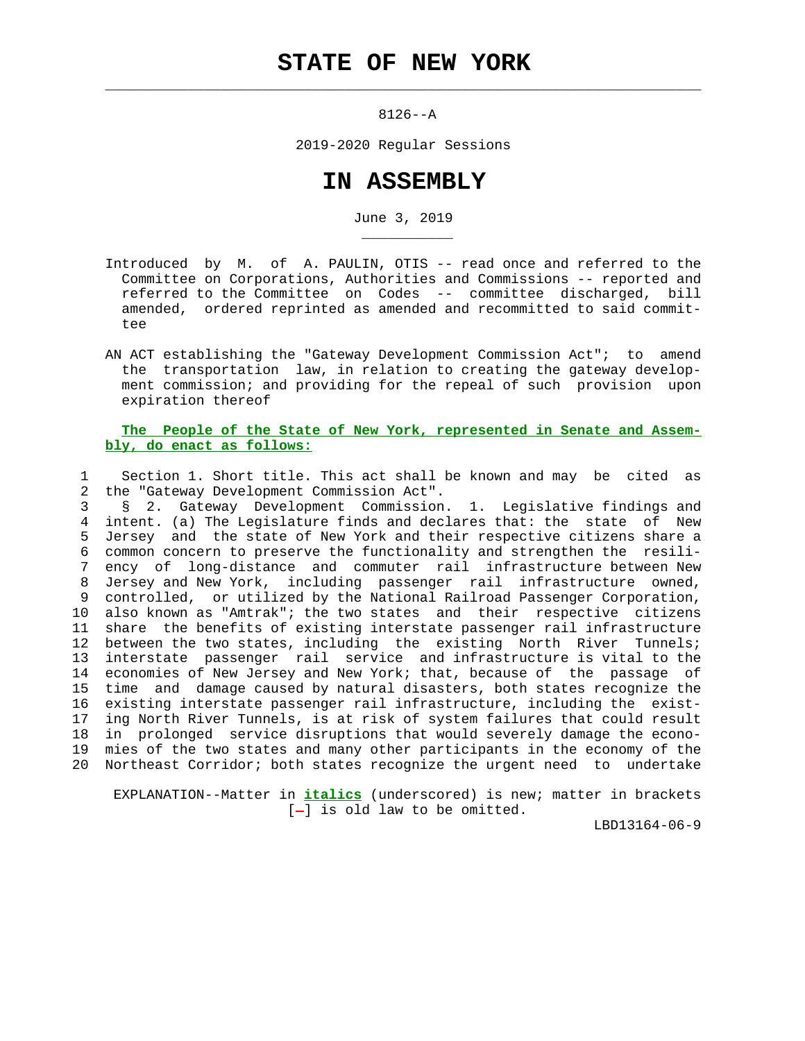## **STATE OF NEW YORK**

 $\mathcal{L}_\text{max} = \frac{1}{2} \sum_{i=1}^{n} \frac{1}{2} \sum_{i=1}^{n} \frac{1}{2} \sum_{i=1}^{n} \frac{1}{2} \sum_{i=1}^{n} \frac{1}{2} \sum_{i=1}^{n} \frac{1}{2} \sum_{i=1}^{n} \frac{1}{2} \sum_{i=1}^{n} \frac{1}{2} \sum_{i=1}^{n} \frac{1}{2} \sum_{i=1}^{n} \frac{1}{2} \sum_{i=1}^{n} \frac{1}{2} \sum_{i=1}^{n} \frac{1}{2} \sum_{i=1}^{n} \frac{1$ 

\_\_\_\_\_\_\_\_\_\_\_

8126--A

2019-2020 Regular Sessions

## **IN ASSEMBLY**

June 3, 2019

- Introduced by M. of A. PAULIN, OTIS -- read once and referred to the Committee on Corporations, Authorities and Commissions -- reported and referred to the Committee on Codes -- committee discharged, bill amended, ordered reprinted as amended and recommitted to said commit tee
- AN ACT establishing the "Gateway Development Commission Act"; to amend the transportation law, in relation to creating the gateway develop ment commission; and providing for the repeal of such provision upon expiration thereof

## **The People of the State of New York, represented in Senate and Assem bly, do enact as follows:**

 1 Section 1. Short title. This act shall be known and may be cited as 2 the "Gateway Development Commission Act".

 3 § 2. Gateway Development Commission. 1. Legislative findings and 4 intent. (a) The Legislature finds and declares that: the state of New 5 Jersey and the state of New York and their respective citizens share a 6 common concern to preserve the functionality and strengthen the resili- 7 ency of long-distance and commuter rail infrastructure between New 8 Jersey and New York, including passenger rail infrastructure owned, 9 controlled, or utilized by the National Railroad Passenger Corporation, 10 also known as "Amtrak"; the two states and their respective citizens 11 share the benefits of existing interstate passenger rail infrastructure 12 between the two states, including the existing North River Tunnels; 13 interstate passenger rail service and infrastructure is vital to the 14 economies of New Jersey and New York; that, because of the passage of 15 time and damage caused by natural disasters, both states recognize the 16 existing interstate passenger rail infrastructure, including the exist- 17 ing North River Tunnels, is at risk of system failures that could result 18 in prolonged service disruptions that would severely damage the econo- 19 mies of the two states and many other participants in the economy of the 20 Northeast Corridor; both states recognize the urgent need to undertake

 EXPLANATION--Matter in **italics** (underscored) is new; matter in brackets  $[-]$  is old law to be omitted.

LBD13164-06-9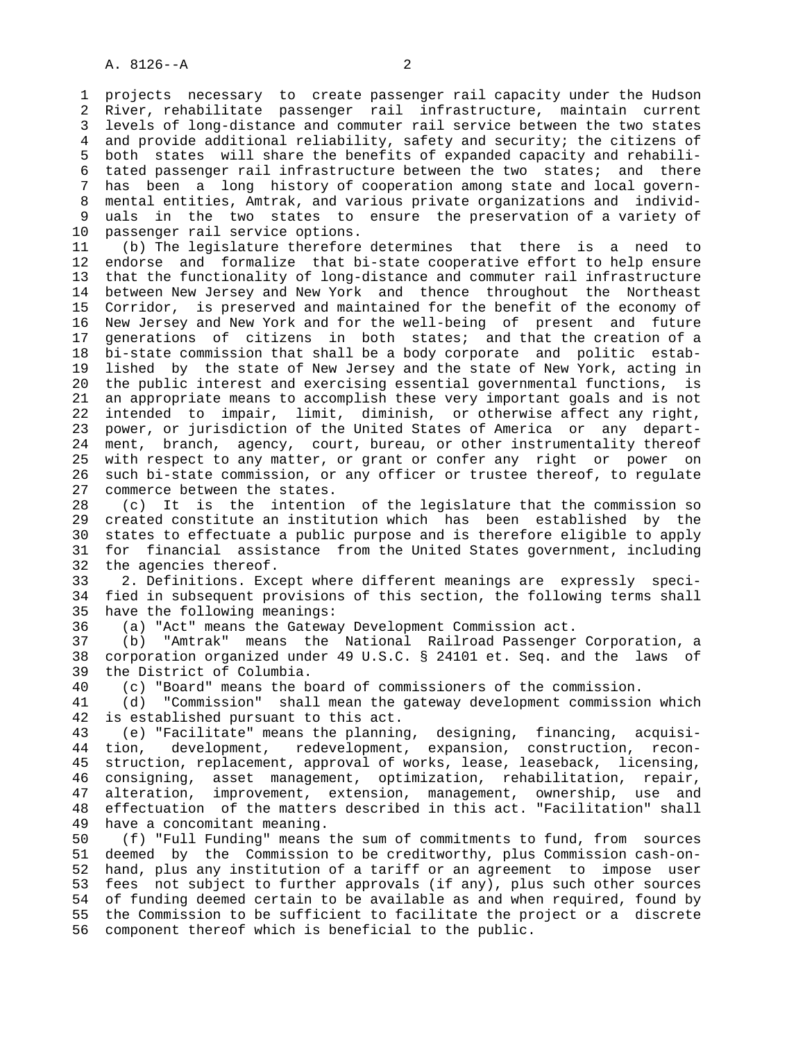1 projects necessary to create passenger rail capacity under the Hudson 2 River, rehabilitate passenger rail infrastructure, maintain current 3 levels of long-distance and commuter rail service between the two states 4 and provide additional reliability, safety and security; the citizens of 5 both states will share the benefits of expanded capacity and rehabili- 6 tated passenger rail infrastructure between the two states; and there 7 has been a long history of cooperation among state and local govern- 8 mental entities, Amtrak, and various private organizations and individ uals in the two states to ensure the preservation of a variety of 10 passenger rail service options.

 11 (b) The legislature therefore determines that there is a need to 12 endorse and formalize that bi-state cooperative effort to help ensure 13 that the functionality of long-distance and commuter rail infrastructure 14 between New Jersey and New York and thence throughout the Northeast 15 Corridor, is preserved and maintained for the benefit of the economy of 16 New Jersey and New York and for the well-being of present and future 17 generations of citizens in both states; and that the creation of a 18 bi-state commission that shall be a body corporate and politic estab- 19 lished by the state of New Jersey and the state of New York, acting in 20 the public interest and exercising essential governmental functions, is 21 an appropriate means to accomplish these very important goals and is not 22 intended to impair, limit, diminish, or otherwise affect any right, 23 power, or jurisdiction of the United States of America or any depart- 24 ment, branch, agency, court, bureau, or other instrumentality thereof 25 with respect to any matter, or grant or confer any right or power on 26 such bi-state commission, or any officer or trustee thereof, to regulate 27 commerce between the states.

 28 (c) It is the intention of the legislature that the commission so 29 created constitute an institution which has been established by the 30 states to effectuate a public purpose and is therefore eligible to apply 31 for financial assistance from the United States government, including 32 the agencies thereof.

 33 2. Definitions. Except where different meanings are expressly speci- 34 fied in subsequent provisions of this section, the following terms shall 35 have the following meanings:

36 (a) "Act" means the Gateway Development Commission act.

 37 (b) "Amtrak" means the National Railroad Passenger Corporation, a 38 corporation organized under 49 U.S.C. § 24101 et. Seq. and the laws of 39 the District of Columbia.

40 (c) "Board" means the board of commissioners of the commission.

 41 (d) "Commission" shall mean the gateway development commission which 42 is established pursuant to this act.

 43 (e) "Facilitate" means the planning, designing, financing, acquisi- 44 tion, development, redevelopment, expansion, construction, recon- 45 struction, replacement, approval of works, lease, leaseback, licensing, 46 consigning, asset management, optimization, rehabilitation, repair, 47 alteration, improvement, extension, management, ownership, use and 48 effectuation of the matters described in this act. "Facilitation" shall 49 have a concomitant meaning.

 50 (f) "Full Funding" means the sum of commitments to fund, from sources 51 deemed by the Commission to be creditworthy, plus Commission cash-on- 52 hand, plus any institution of a tariff or an agreement to impose user 53 fees not subject to further approvals (if any), plus such other sources 54 of funding deemed certain to be available as and when required, found by 55 the Commission to be sufficient to facilitate the project or a discrete 56 component thereof which is beneficial to the public.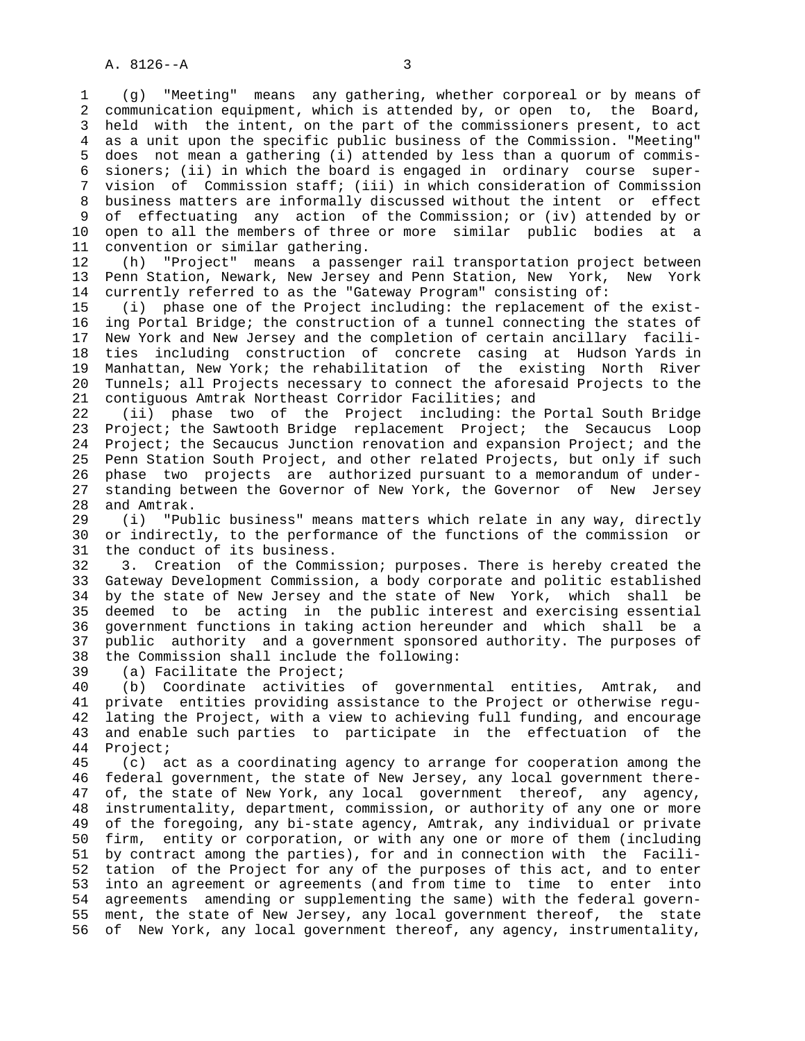1 (g) "Meeting" means any gathering, whether corporeal or by means of 2 communication equipment, which is attended by, or open to, the Board, 3 held with the intent, on the part of the commissioners present, to act 4 as a unit upon the specific public business of the Commission. "Meeting" 5 does not mean a gathering (i) attended by less than a quorum of commis- 6 sioners; (ii) in which the board is engaged in ordinary course super- 7 vision of Commission staff; (iii) in which consideration of Commission 8 business matters are informally discussed without the intent or effect 9 of effectuating any action of the Commission; or (iv) attended by or 10 open to all the members of three or more similar public bodies at a 11 convention or similar gathering.

 12 (h) "Project" means a passenger rail transportation project between 13 Penn Station, Newark, New Jersey and Penn Station, New York, New York 14 currently referred to as the "Gateway Program" consisting of:

 15 (i) phase one of the Project including: the replacement of the exist- 16 ing Portal Bridge; the construction of a tunnel connecting the states of 17 New York and New Jersey and the completion of certain ancillary facili- 18 ties including construction of concrete casing at Hudson Yards in 19 Manhattan, New York; the rehabilitation of the existing North River 20 Tunnels; all Projects necessary to connect the aforesaid Projects to the 21 contiguous Amtrak Northeast Corridor Facilities; and

 22 (ii) phase two of the Project including: the Portal South Bridge 23 Project; the Sawtooth Bridge replacement Project; the Secaucus Loop 24 Project; the Secaucus Junction renovation and expansion Project; and the 25 Penn Station South Project, and other related Projects, but only if such 26 phase two projects are authorized pursuant to a memorandum of under- 27 standing between the Governor of New York, the Governor of New Jersey 28 and Amtrak.

 29 (i) "Public business" means matters which relate in any way, directly 30 or indirectly, to the performance of the functions of the commission or 31 the conduct of its business.

 32 3. Creation of the Commission; purposes. There is hereby created the 33 Gateway Development Commission, a body corporate and politic established 34 by the state of New Jersey and the state of New York, which shall be 35 deemed to be acting in the public interest and exercising essential 36 government functions in taking action hereunder and which shall be a 37 public authority and a government sponsored authority. The purposes of 38 the Commission shall include the following:

39 (a) Facilitate the Project;

 40 (b) Coordinate activities of governmental entities, Amtrak, and 41 private entities providing assistance to the Project or otherwise regu- 42 lating the Project, with a view to achieving full funding, and encourage 43 and enable such parties to participate in the effectuation of the 44 Project;

 45 (c) act as a coordinating agency to arrange for cooperation among the 46 federal government, the state of New Jersey, any local government there- 47 of, the state of New York, any local government thereof, any agency, 48 instrumentality, department, commission, or authority of any one or more 49 of the foregoing, any bi-state agency, Amtrak, any individual or private 50 firm, entity or corporation, or with any one or more of them (including 51 by contract among the parties), for and in connection with the Facili- 52 tation of the Project for any of the purposes of this act, and to enter 53 into an agreement or agreements (and from time to time to enter into 54 agreements amending or supplementing the same) with the federal govern- 55 ment, the state of New Jersey, any local government thereof, the state 56 of New York, any local government thereof, any agency, instrumentality,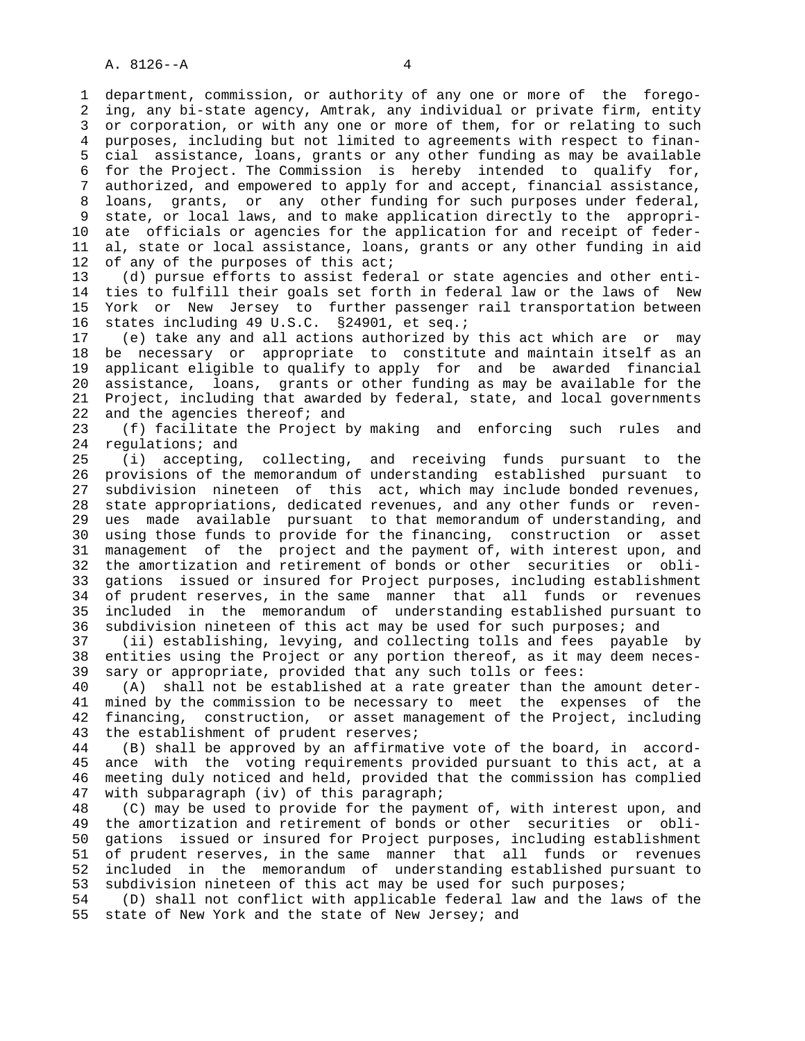1 department, commission, or authority of any one or more of the forego- 2 ing, any bi-state agency, Amtrak, any individual or private firm, entity 3 or corporation, or with any one or more of them, for or relating to such 4 purposes, including but not limited to agreements with respect to finan- 5 cial assistance, loans, grants or any other funding as may be available 6 for the Project. The Commission is hereby intended to qualify for, 7 authorized, and empowered to apply for and accept, financial assistance, 8 loans, grants, or any other funding for such purposes under federal, 9 state, or local laws, and to make application directly to the appropri- 10 ate officials or agencies for the application for and receipt of feder- 11 al, state or local assistance, loans, grants or any other funding in aid 12 of any of the purposes of this act;

 13 (d) pursue efforts to assist federal or state agencies and other enti- 14 ties to fulfill their goals set forth in federal law or the laws of New 15 York or New Jersey to further passenger rail transportation between 16 states including 49 U.S.C. §24901, et seq.;

 17 (e) take any and all actions authorized by this act which are or may 18 be necessary or appropriate to constitute and maintain itself as an 19 applicant eligible to qualify to apply for and be awarded financial 20 assistance, loans, grants or other funding as may be available for the 21 Project, including that awarded by federal, state, and local governments 22 and the agencies thereof; and

 23 (f) facilitate the Project by making and enforcing such rules and 24 regulations; and

 25 (i) accepting, collecting, and receiving funds pursuant to the 26 provisions of the memorandum of understanding established pursuant to 27 subdivision nineteen of this act, which may include bonded revenues, 28 state appropriations, dedicated revenues, and any other funds or reven- 29 ues made available pursuant to that memorandum of understanding, and 30 using those funds to provide for the financing, construction or asset 31 management of the project and the payment of, with interest upon, and 32 the amortization and retirement of bonds or other securities or obli- 33 gations issued or insured for Project purposes, including establishment 34 of prudent reserves, in the same manner that all funds or revenues 35 included in the memorandum of understanding established pursuant to 36 subdivision nineteen of this act may be used for such purposes; and

 37 (ii) establishing, levying, and collecting tolls and fees payable by 38 entities using the Project or any portion thereof, as it may deem neces- 39 sary or appropriate, provided that any such tolls or fees:

 40 (A) shall not be established at a rate greater than the amount deter- 41 mined by the commission to be necessary to meet the expenses of the 42 financing, construction, or asset management of the Project, including 43 the establishment of prudent reserves;

 44 (B) shall be approved by an affirmative vote of the board, in accord- 45 ance with the voting requirements provided pursuant to this act, at a 46 meeting duly noticed and held, provided that the commission has complied 47 with subparagraph (iv) of this paragraph;

 48 (C) may be used to provide for the payment of, with interest upon, and 49 the amortization and retirement of bonds or other securities or obli- 50 gations issued or insured for Project purposes, including establishment 51 of prudent reserves, in the same manner that all funds or revenues 52 included in the memorandum of understanding established pursuant to 53 subdivision nineteen of this act may be used for such purposes;

 54 (D) shall not conflict with applicable federal law and the laws of the 55 state of New York and the state of New Jersey; and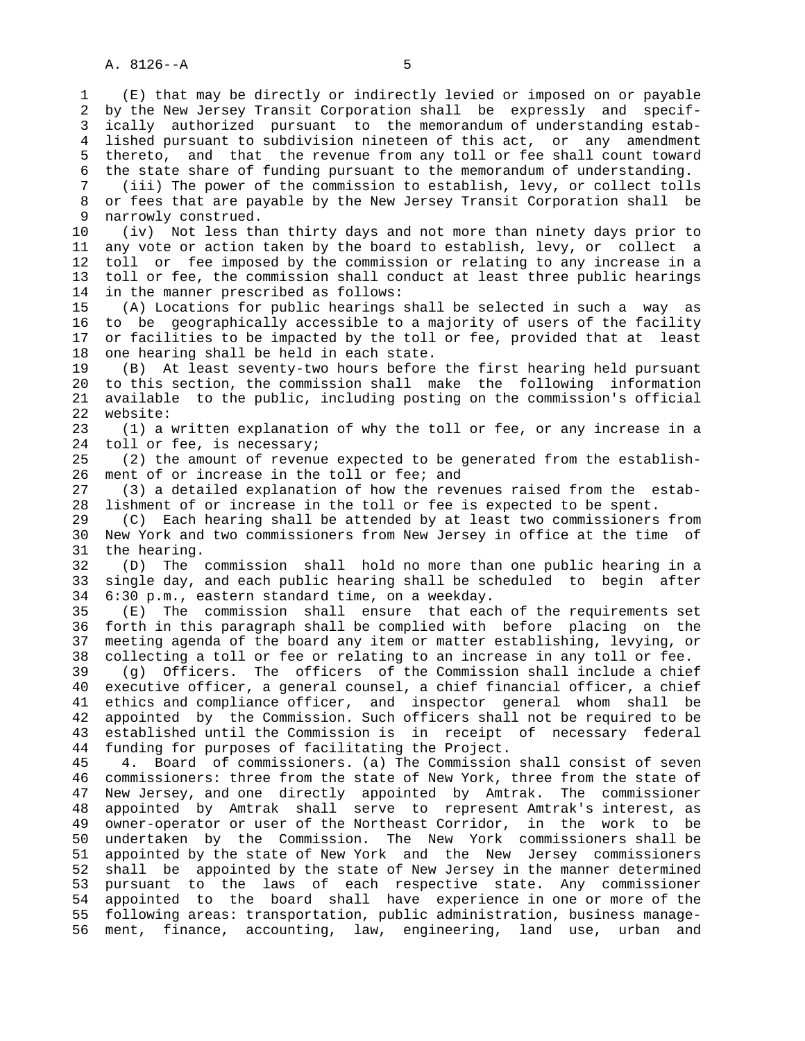1 (E) that may be directly or indirectly levied or imposed on or payable 2 by the New Jersey Transit Corporation shall be expressly and specif- 3 ically authorized pursuant to the memorandum of understanding estab- 4 lished pursuant to subdivision nineteen of this act, or any amendment 5 thereto, and that the revenue from any toll or fee shall count toward 6 the state share of funding pursuant to the memorandum of understanding. 7 (iii) The power of the commission to establish, levy, or collect tolls 8 or fees that are payable by the New Jersey Transit Corporation shall be 3 narrowly construed. narrowly construed. 10 (iv) Not less than thirty days and not more than ninety days prior to 11 any vote or action taken by the board to establish, levy, or collect a 12 toll or fee imposed by the commission or relating to any increase in a 13 toll or fee, the commission shall conduct at least three public hearings 14 in the manner prescribed as follows: 15 (A) Locations for public hearings shall be selected in such a way as 16 to be geographically accessible to a majority of users of the facility 17 or facilities to be impacted by the toll or fee, provided that at least 18 one hearing shall be held in each state. 19 (B) At least seventy-two hours before the first hearing held pursuant 20 to this section, the commission shall make the following information 21 available to the public, including posting on the commission's official 22 website: 23 (1) a written explanation of why the toll or fee, or any increase in a 24 toll or fee, is necessary; 25 (2) the amount of revenue expected to be generated from the establish- 26 ment of or increase in the toll or fee; and 27 (3) a detailed explanation of how the revenues raised from the estab- 28 lishment of or increase in the toll or fee is expected to be spent. 29 (C) Each hearing shall be attended by at least two commissioners from 30 New York and two commissioners from New Jersey in office at the time of 31 the hearing. 32 (D) The commission shall hold no more than one public hearing in a 33 single day, and each public hearing shall be scheduled to begin after 34 6:30 p.m., eastern standard time, on a weekday. 35 (E) The commission shall ensure that each of the requirements set 36 forth in this paragraph shall be complied with before placing on the 37 meeting agenda of the board any item or matter establishing, levying, or 38 collecting a toll or fee or relating to an increase in any toll or fee. 39 (g) Officers. The officers of the Commission shall include a chief 40 executive officer, a general counsel, a chief financial officer, a chief 41 ethics and compliance officer, and inspector general whom shall be 42 appointed by the Commission. Such officers shall not be required to be 43 established until the Commission is in receipt of necessary federal 44 funding for purposes of facilitating the Project. 45 4. Board of commissioners. (a) The Commission shall consist of seven 46 commissioners: three from the state of New York, three from the state of 47 New Jersey, and one directly appointed by Amtrak. The commissioner 48 appointed by Amtrak shall serve to represent Amtrak's interest, as 49 owner-operator or user of the Northeast Corridor, in the work to be 50 undertaken by the Commission. The New York commissioners shall be 51 appointed by the state of New York and the New Jersey commissioners 52 shall be appointed by the state of New Jersey in the manner determined 53 pursuant to the laws of each respective state. Any commissioner 54 appointed to the board shall have experience in one or more of the 55 following areas: transportation, public administration, business manage- 56 ment, finance, accounting, law, engineering, land use, urban and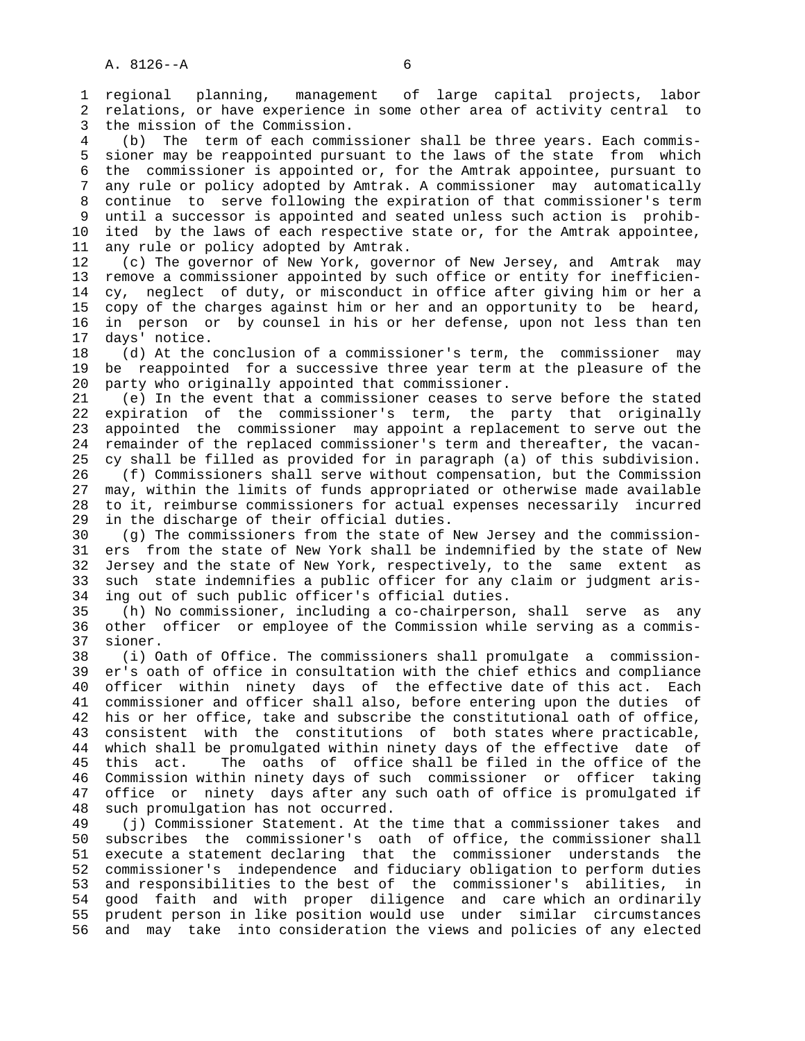1 regional planning, management of large capital projects, labor 2 relations, or have experience in some other area of activity central to 3 the mission of the Commission.

 4 (b) The term of each commissioner shall be three years. Each commis- 5 sioner may be reappointed pursuant to the laws of the state from which 6 the commissioner is appointed or, for the Amtrak appointee, pursuant to 7 any rule or policy adopted by Amtrak. A commissioner may automatically 8 continue to serve following the expiration of that commissioner's term until a successor is appointed and seated unless such action is prohib- 10 ited by the laws of each respective state or, for the Amtrak appointee, 11 any rule or policy adopted by Amtrak.

 12 (c) The governor of New York, governor of New Jersey, and Amtrak may 13 remove a commissioner appointed by such office or entity for inefficien- 14 cy, neglect of duty, or misconduct in office after giving him or her a 15 copy of the charges against him or her and an opportunity to be heard, 16 in person or by counsel in his or her defense, upon not less than ten 17 days' notice.

 18 (d) At the conclusion of a commissioner's term, the commissioner may 19 be reappointed for a successive three year term at the pleasure of the 20 party who originally appointed that commissioner.

 21 (e) In the event that a commissioner ceases to serve before the stated 22 expiration of the commissioner's term, the party that originally 23 appointed the commissioner may appoint a replacement to serve out the 24 remainder of the replaced commissioner's term and thereafter, the vacan- 25 cy shall be filled as provided for in paragraph (a) of this subdivision. 26 (f) Commissioners shall serve without compensation, but the Commission 27 may, within the limits of funds appropriated or otherwise made available 28 to it, reimburse commissioners for actual expenses necessarily incurred 29 in the discharge of their official duties.

 30 (g) The commissioners from the state of New Jersey and the commission- 31 ers from the state of New York shall be indemnified by the state of New 32 Jersey and the state of New York, respectively, to the same extent as 33 such state indemnifies a public officer for any claim or judgment aris- 34 ing out of such public officer's official duties.

 35 (h) No commissioner, including a co-chairperson, shall serve as any 36 other officer or employee of the Commission while serving as a commis- 37 sioner.

 38 (i) Oath of Office. The commissioners shall promulgate a commission- 39 er's oath of office in consultation with the chief ethics and compliance 40 officer within ninety days of the effective date of this act. Each 41 commissioner and officer shall also, before entering upon the duties of 42 his or her office, take and subscribe the constitutional oath of office, 43 consistent with the constitutions of both states where practicable, 44 which shall be promulgated within ninety days of the effective date of 45 this act. The oaths of office shall be filed in the office of the 46 Commission within ninety days of such commissioner or officer taking 47 office or ninety days after any such oath of office is promulgated if 48 such promulgation has not occurred.

 49 (j) Commissioner Statement. At the time that a commissioner takes and 50 subscribes the commissioner's oath of office, the commissioner shall 51 execute a statement declaring that the commissioner understands the 52 commissioner's independence and fiduciary obligation to perform duties 53 and responsibilities to the best of the commissioner's abilities, in 54 good faith and with proper diligence and care which an ordinarily 55 prudent person in like position would use under similar circumstances 56 and may take into consideration the views and policies of any elected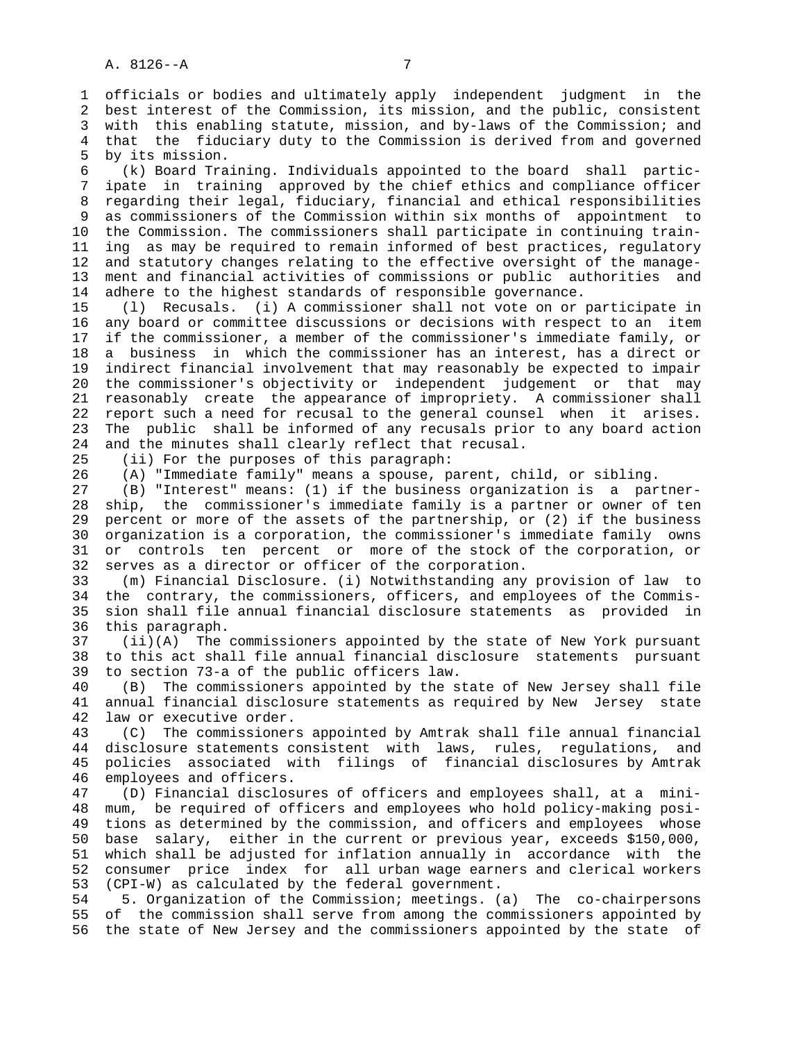1 officials or bodies and ultimately apply independent judgment in the 2 best interest of the Commission, its mission, and the public, consistent 3 with this enabling statute, mission, and by-laws of the Commission; and 4 that the fiduciary duty to the Commission is derived from and governed 5 by its mission.

 6 (k) Board Training. Individuals appointed to the board shall partic- 7 ipate in training approved by the chief ethics and compliance officer 8 regarding their legal, fiduciary, financial and ethical responsibilities 9 as commissioners of the Commission within six months of appointment to 10 the Commission. The commissioners shall participate in continuing train- 11 ing as may be required to remain informed of best practices, regulatory 12 and statutory changes relating to the effective oversight of the manage- 13 ment and financial activities of commissions or public authorities and 14 adhere to the highest standards of responsible governance.

 15 (l) Recusals. (i) A commissioner shall not vote on or participate in 16 any board or committee discussions or decisions with respect to an item 17 if the commissioner, a member of the commissioner's immediate family, or 18 a business in which the commissioner has an interest, has a direct or 19 indirect financial involvement that may reasonably be expected to impair 20 the commissioner's objectivity or independent judgement or that may 21 reasonably create the appearance of impropriety. A commissioner shall 22 report such a need for recusal to the general counsel when it arises. 23 The public shall be informed of any recusals prior to any board action 24 and the minutes shall clearly reflect that recusal.

25 (ii) For the purposes of this paragraph:

26 (A) "Immediate family" means a spouse, parent, child, or sibling.

 27 (B) "Interest" means: (1) if the business organization is a partner- 28 ship, the commissioner's immediate family is a partner or owner of ten 29 percent or more of the assets of the partnership, or (2) if the business 30 organization is a corporation, the commissioner's immediate family owns 31 or controls ten percent or more of the stock of the corporation, or 32 serves as a director or officer of the corporation.

 33 (m) Financial Disclosure. (i) Notwithstanding any provision of law to 34 the contrary, the commissioners, officers, and employees of the Commis- 35 sion shall file annual financial disclosure statements as provided in 36 this paragraph.

 37 (ii)(A) The commissioners appointed by the state of New York pursuant 38 to this act shall file annual financial disclosure statements pursuant 39 to section 73-a of the public officers law.

 40 (B) The commissioners appointed by the state of New Jersey shall file 41 annual financial disclosure statements as required by New Jersey state 42 law or executive order.

 43 (C) The commissioners appointed by Amtrak shall file annual financial 44 disclosure statements consistent with laws, rules, regulations, and 45 policies associated with filings of financial disclosures by Amtrak 46 employees and officers.

 47 (D) Financial disclosures of officers and employees shall, at a mini- 48 mum, be required of officers and employees who hold policy-making posi- 49 tions as determined by the commission, and officers and employees whose 50 base salary, either in the current or previous year, exceeds \$150,000, 51 which shall be adjusted for inflation annually in accordance with the 52 consumer price index for all urban wage earners and clerical workers 53 (CPI-W) as calculated by the federal government.

 54 5. Organization of the Commission; meetings. (a) The co-chairpersons 55 of the commission shall serve from among the commissioners appointed by 56 the state of New Jersey and the commissioners appointed by the state of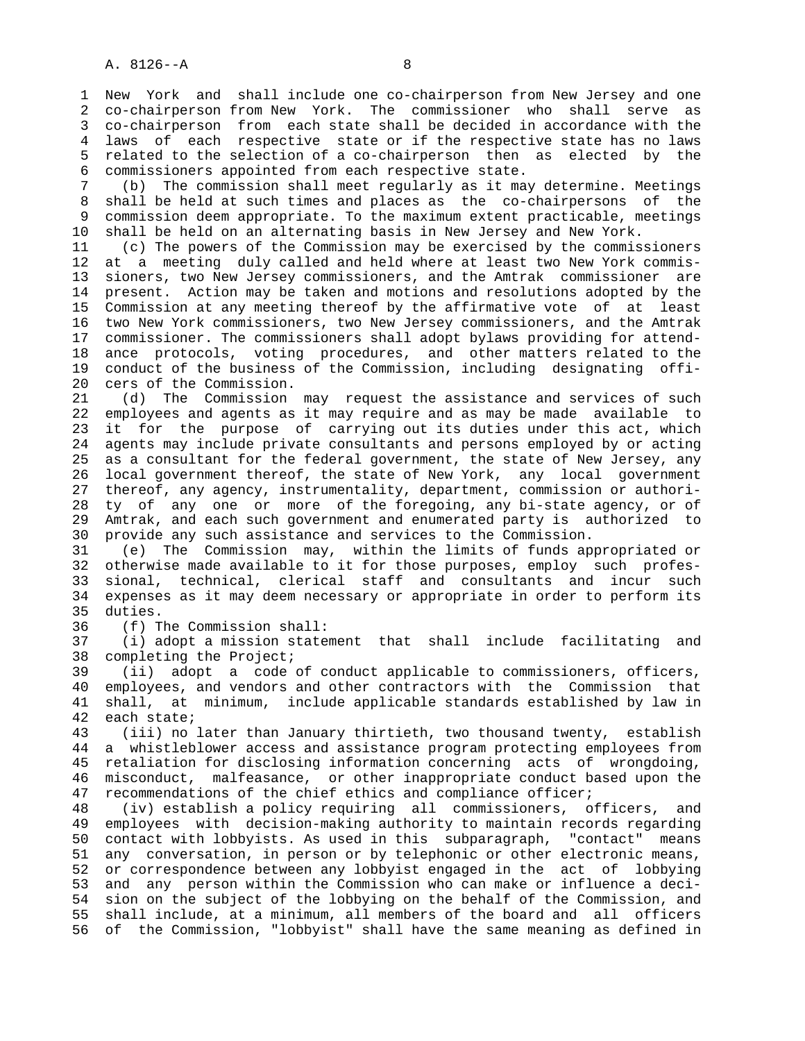1 New York and shall include one co-chairperson from New Jersey and one 2 co-chairperson from New York. The commissioner who shall serve as 3 co-chairperson from each state shall be decided in accordance with the 4 laws of each respective state or if the respective state has no laws 5 related to the selection of a co-chairperson then as elected by the 6 commissioners appointed from each respective state.

 7 (b) The commission shall meet regularly as it may determine. Meetings 8 shall be held at such times and places as the co-chairpersons of the<br>9 commission deem appropriate. To the maximum extent practicable, meetings commission deem appropriate. To the maximum extent practicable, meetings 10 shall be held on an alternating basis in New Jersey and New York.

 11 (c) The powers of the Commission may be exercised by the commissioners 12 at a meeting duly called and held where at least two New York commis- 13 sioners, two New Jersey commissioners, and the Amtrak commissioner are 14 present. Action may be taken and motions and resolutions adopted by the 15 Commission at any meeting thereof by the affirmative vote of at least 16 two New York commissioners, two New Jersey commissioners, and the Amtrak 17 commissioner. The commissioners shall adopt bylaws providing for attend- 18 ance protocols, voting procedures, and other matters related to the 19 conduct of the business of the Commission, including designating offi- 20 cers of the Commission.

 21 (d) The Commission may request the assistance and services of such 22 employees and agents as it may require and as may be made available to 23 it for the purpose of carrying out its duties under this act, which 24 agents may include private consultants and persons employed by or acting 25 as a consultant for the federal government, the state of New Jersey, any 26 local government thereof, the state of New York, any local government 27 thereof, any agency, instrumentality, department, commission or authori- 28 ty of any one or more of the foregoing, any bi-state agency, or of 29 Amtrak, and each such government and enumerated party is authorized to 30 provide any such assistance and services to the Commission.

 31 (e) The Commission may, within the limits of funds appropriated or 32 otherwise made available to it for those purposes, employ such profes- 33 sional, technical, clerical staff and consultants and incur such 34 expenses as it may deem necessary or appropriate in order to perform its 35 duties.

36 (f) The Commission shall:

 37 (i) adopt a mission statement that shall include facilitating and 38 completing the Project;

 39 (ii) adopt a code of conduct applicable to commissioners, officers, 40 employees, and vendors and other contractors with the Commission that 41 shall, at minimum, include applicable standards established by law in 42 each state;

 43 (iii) no later than January thirtieth, two thousand twenty, establish 44 a whistleblower access and assistance program protecting employees from 45 retaliation for disclosing information concerning acts of wrongdoing, 46 misconduct, malfeasance, or other inappropriate conduct based upon the 47 recommendations of the chief ethics and compliance officer;

 48 (iv) establish a policy requiring all commissioners, officers, and 49 employees with decision-making authority to maintain records regarding 50 contact with lobbyists. As used in this subparagraph, "contact" means 51 any conversation, in person or by telephonic or other electronic means, 52 or correspondence between any lobbyist engaged in the act of lobbying 53 and any person within the Commission who can make or influence a deci- 54 sion on the subject of the lobbying on the behalf of the Commission, and 55 shall include, at a minimum, all members of the board and all officers 56 of the Commission, "lobbyist" shall have the same meaning as defined in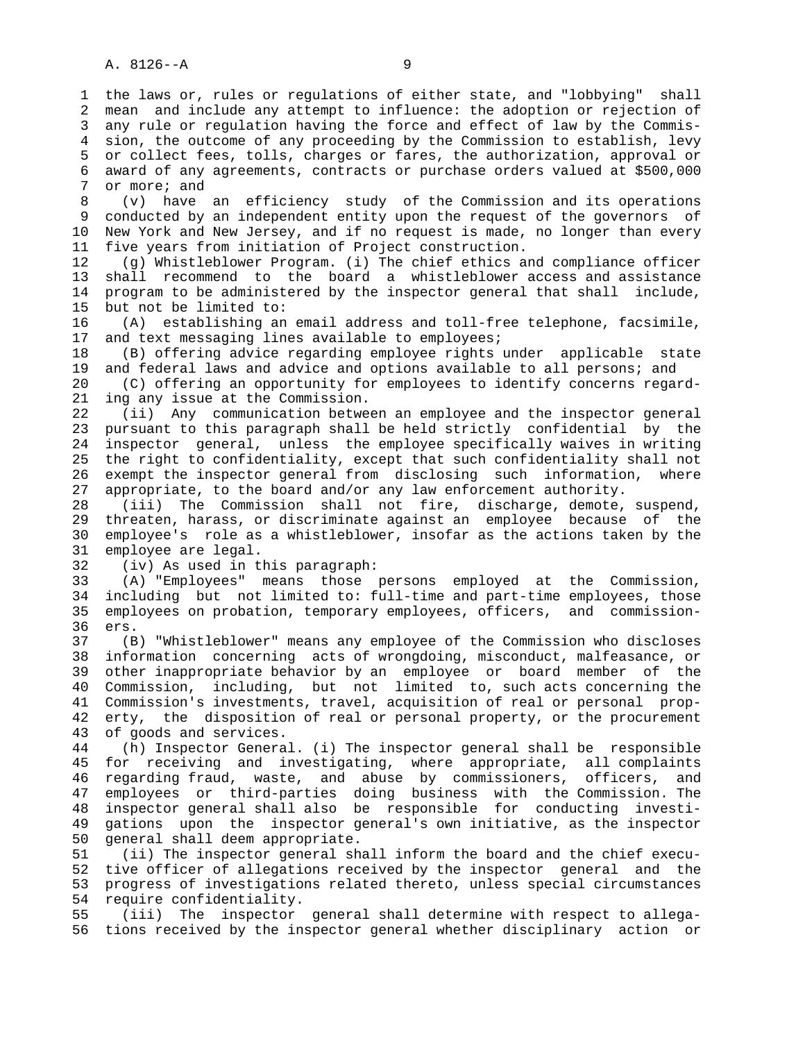1 the laws or, rules or regulations of either state, and "lobbying" shall 2 mean and include any attempt to influence: the adoption or rejection of 3 any rule or regulation having the force and effect of law by the Commis- 4 sion, the outcome of any proceeding by the Commission to establish, levy 5 or collect fees, tolls, charges or fares, the authorization, approval or 6 award of any agreements, contracts or purchase orders valued at \$500,000 7 or more; and

 8 (v) have an efficiency study of the Commission and its operations 9 conducted by an independent entity upon the request of the governors of 10 New York and New Jersey, and if no request is made, no longer than every 11 five years from initiation of Project construction.

 12 (g) Whistleblower Program. (i) The chief ethics and compliance officer 13 shall recommend to the board a whistleblower access and assistance 14 program to be administered by the inspector general that shall include, 15 but not be limited to:

 16 (A) establishing an email address and toll-free telephone, facsimile, 17 and text messaging lines available to employees;

 18 (B) offering advice regarding employee rights under applicable state 19 and federal laws and advice and options available to all persons; and

 20 (C) offering an opportunity for employees to identify concerns regard- 21 ing any issue at the Commission.

 22 (ii) Any communication between an employee and the inspector general 23 pursuant to this paragraph shall be held strictly confidential by the 24 inspector general, unless the employee specifically waives in writing 25 the right to confidentiality, except that such confidentiality shall not 26 exempt the inspector general from disclosing such information, where 27 appropriate, to the board and/or any law enforcement authority.

 28 (iii) The Commission shall not fire, discharge, demote, suspend, 29 threaten, harass, or discriminate against an employee because of the 30 employee's role as a whistleblower, insofar as the actions taken by the 31 employee are legal.

32 (iv) As used in this paragraph:

 33 (A) "Employees" means those persons employed at the Commission, 34 including but not limited to: full-time and part-time employees, those 35 employees on probation, temporary employees, officers, and commission- 36 ers.

 37 (B) "Whistleblower" means any employee of the Commission who discloses 38 information concerning acts of wrongdoing, misconduct, malfeasance, or 39 other inappropriate behavior by an employee or board member of the 40 Commission, including, but not limited to, such acts concerning the 41 Commission's investments, travel, acquisition of real or personal prop- 42 erty, the disposition of real or personal property, or the procurement 43 of goods and services.

 44 (h) Inspector General. (i) The inspector general shall be responsible 45 for receiving and investigating, where appropriate, all complaints 46 regarding fraud, waste, and abuse by commissioners, officers, and 47 employees or third-parties doing business with the Commission. The 48 inspector general shall also be responsible for conducting investi- 49 gations upon the inspector general's own initiative, as the inspector 50 general shall deem appropriate.

 51 (ii) The inspector general shall inform the board and the chief execu- 52 tive officer of allegations received by the inspector general and the 53 progress of investigations related thereto, unless special circumstances 54 require confidentiality.

 55 (iii) The inspector general shall determine with respect to allega- 56 tions received by the inspector general whether disciplinary action or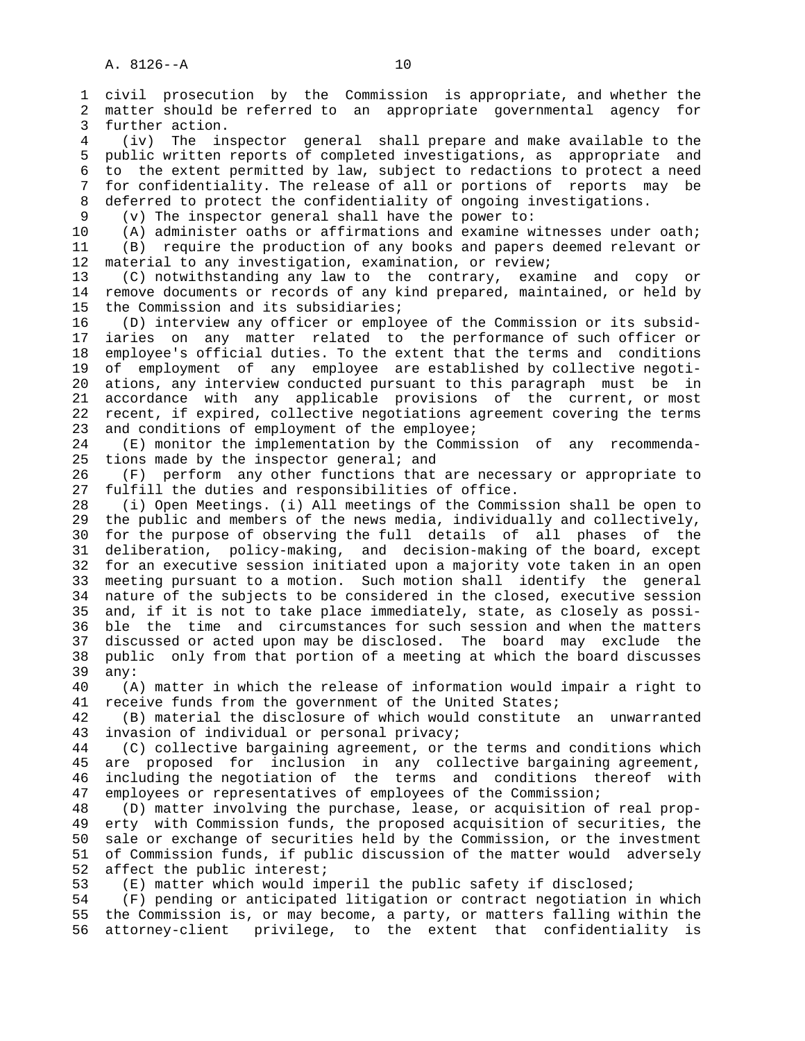1 civil prosecution by the Commission is appropriate, and whether the 2 matter should be referred to an appropriate governmental agency for 3 further action. 4 (iv) The inspector general shall prepare and make available to the 5 public written reports of completed investigations, as appropriate and 6 to the extent permitted by law, subject to redactions to protect a need 7 for confidentiality. The release of all or portions of reports may be 8 deferred to protect the confidentiality of ongoing investigations.<br>9 (v) The inspector general shall have the power to:  $(v)$  The inspector general shall have the power to: 10 (A) administer oaths or affirmations and examine witnesses under oath; 11 (B) require the production of any books and papers deemed relevant or 12 material to any investigation, examination, or review; 13 (C) notwithstanding any law to the contrary, examine and copy or 14 remove documents or records of any kind prepared, maintained, or held by 15 the Commission and its subsidiaries; 16 (D) interview any officer or employee of the Commission or its subsid- 17 iaries on any matter related to the performance of such officer or 18 employee's official duties. To the extent that the terms and conditions 19 of employment of any employee are established by collective negoti- 20 ations, any interview conducted pursuant to this paragraph must be in 21 accordance with any applicable provisions of the current, or most 22 recent, if expired, collective negotiations agreement covering the terms 23 and conditions of employment of the employee; 24 (E) monitor the implementation by the Commission of any recommenda- 25 tions made by the inspector general; and 26 (F) perform any other functions that are necessary or appropriate to 27 fulfill the duties and responsibilities of office. 28 (i) Open Meetings. (i) All meetings of the Commission shall be open to 29 the public and members of the news media, individually and collectively, 30 for the purpose of observing the full details of all phases of the 31 deliberation, policy-making, and decision-making of the board, except 32 for an executive session initiated upon a majority vote taken in an open 33 meeting pursuant to a motion. Such motion shall identify the general 34 nature of the subjects to be considered in the closed, executive session 35 and, if it is not to take place immediately, state, as closely as possi- 36 ble the time and circumstances for such session and when the matters 37 discussed or acted upon may be disclosed. The board may exclude the 38 public only from that portion of a meeting at which the board discusses 39 any: 40 (A) matter in which the release of information would impair a right to 41 receive funds from the government of the United States; 42 (B) material the disclosure of which would constitute an unwarranted 43 invasion of individual or personal privacy; 44 (C) collective bargaining agreement, or the terms and conditions which 45 are proposed for inclusion in any collective bargaining agreement,

 46 including the negotiation of the terms and conditions thereof with 47 employees or representatives of employees of the Commission;

 48 (D) matter involving the purchase, lease, or acquisition of real prop- 49 erty with Commission funds, the proposed acquisition of securities, the 50 sale or exchange of securities held by the Commission, or the investment 51 of Commission funds, if public discussion of the matter would adversely 52 affect the public interest;

53 (E) matter which would imperil the public safety if disclosed;

 54 (F) pending or anticipated litigation or contract negotiation in which 55 the Commission is, or may become, a party, or matters falling within the 56 attorney-client privilege, to the extent that confidentiality is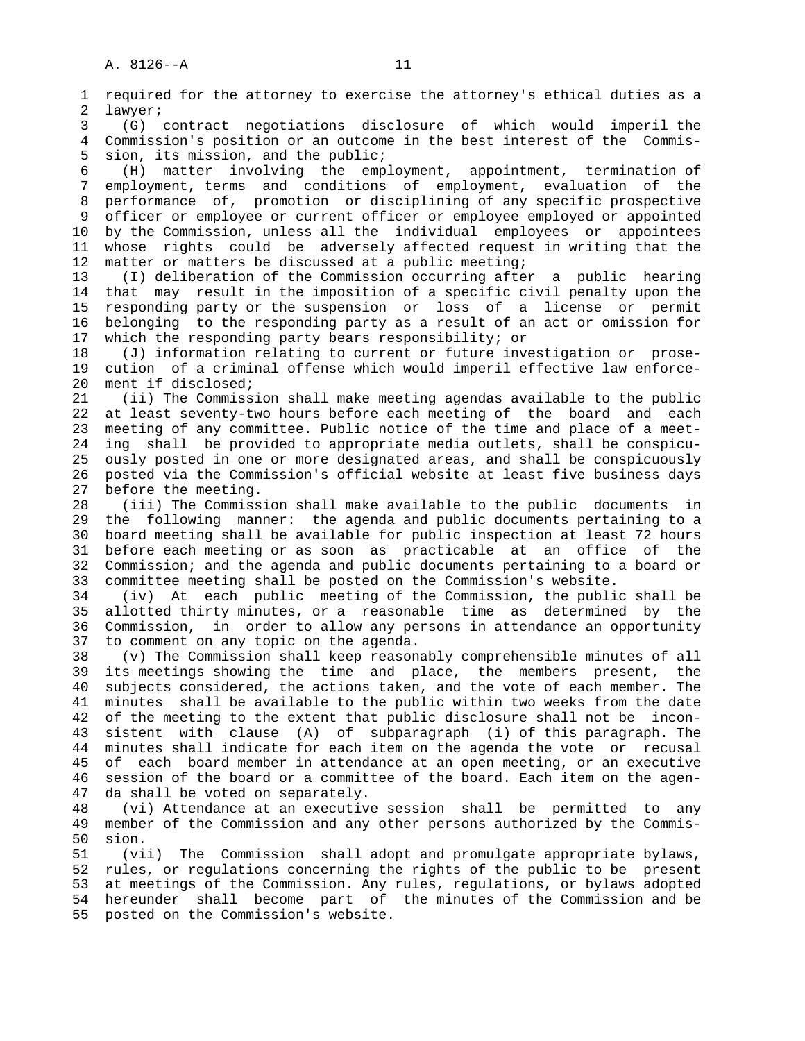1 required for the attorney to exercise the attorney's ethical duties as a 2 lawyer; 3 (G) contract negotiations disclosure of which would imperil the 4 Commission's position or an outcome in the best interest of the Commis- 5 sion, its mission, and the public; 6 (H) matter involving the employment, appointment, termination of 7 employment, terms and conditions of employment, evaluation of the 8 performance of, promotion or disciplining of any specific prospective 9 officer or employee or current officer or employee employed or appointed 10 by the Commission, unless all the individual employees or appointees 11 whose rights could be adversely affected request in writing that the 12 matter or matters be discussed at a public meeting; 13 (I) deliberation of the Commission occurring after a public hearing 14 that may result in the imposition of a specific civil penalty upon the 15 responding party or the suspension or loss of a license or permit 16 belonging to the responding party as a result of an act or omission for 17 which the responding party bears responsibility; or 18 (J) information relating to current or future investigation or prose- 19 cution of a criminal offense which would imperil effective law enforce- 20 ment if disclosed; 21 (ii) The Commission shall make meeting agendas available to the public 22 at least seventy-two hours before each meeting of the board and each 23 meeting of any committee. Public notice of the time and place of a meet- 24 ing shall be provided to appropriate media outlets, shall be conspicu- 25 ously posted in one or more designated areas, and shall be conspicuously 26 posted via the Commission's official website at least five business days 27 before the meeting. 28 (iii) The Commission shall make available to the public documents in 29 the following manner: the agenda and public documents pertaining to a 30 board meeting shall be available for public inspection at least 72 hours 31 before each meeting or as soon as practicable at an office of the 32 Commission; and the agenda and public documents pertaining to a board or 33 committee meeting shall be posted on the Commission's website. 34 (iv) At each public meeting of the Commission, the public shall be 35 allotted thirty minutes, or a reasonable time as determined by the 36 Commission, in order to allow any persons in attendance an opportunity 37 to comment on any topic on the agenda. 38 (v) The Commission shall keep reasonably comprehensible minutes of all 39 its meetings showing the time and place, the members present, the 40 subjects considered, the actions taken, and the vote of each member. The 41 minutes shall be available to the public within two weeks from the date 42 of the meeting to the extent that public disclosure shall not be incon- 43 sistent with clause (A) of subparagraph (i) of this paragraph. The 44 minutes shall indicate for each item on the agenda the vote or recusal 45 of each board member in attendance at an open meeting, or an executive 46 session of the board or a committee of the board. Each item on the agen- 47 da shall be voted on separately. 48 (vi) Attendance at an executive session shall be permitted to any 49 member of the Commission and any other persons authorized by the Commis- 50 sion. 51 (vii) The Commission shall adopt and promulgate appropriate bylaws, 52 rules, or regulations concerning the rights of the public to be present 53 at meetings of the Commission. Any rules, regulations, or bylaws adopted 54 hereunder shall become part of the minutes of the Commission and be 55 posted on the Commission's website.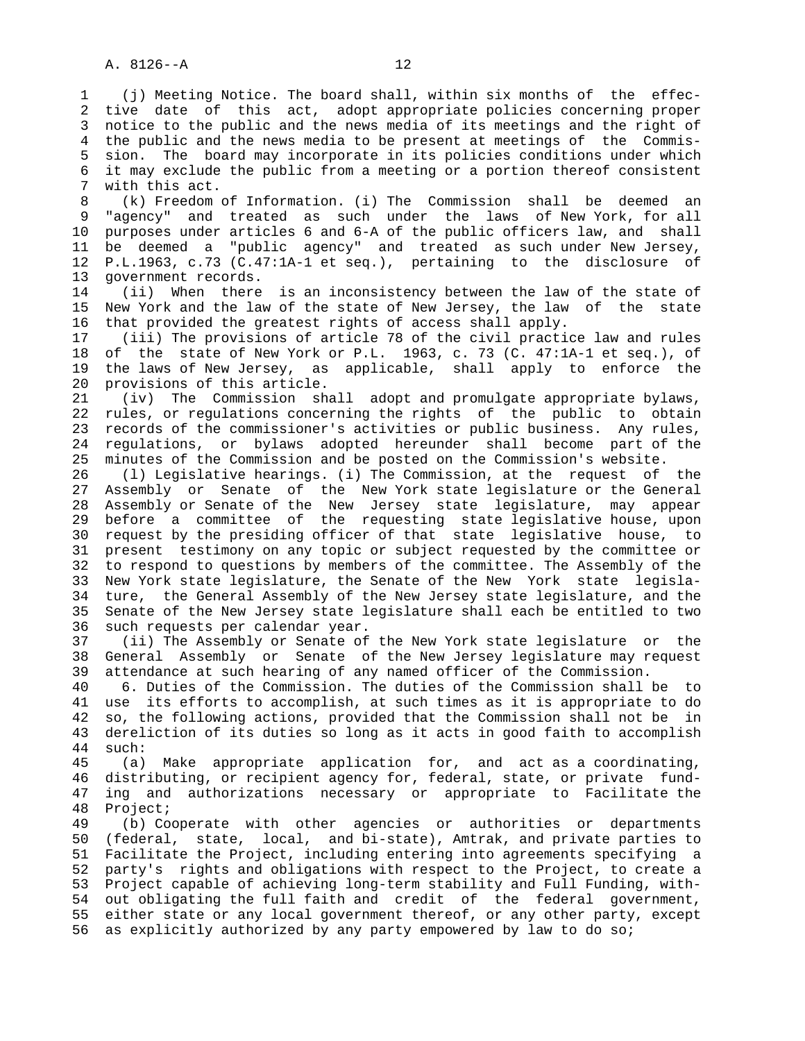1 (j) Meeting Notice. The board shall, within six months of the effec- 2 tive date of this act, adopt appropriate policies concerning proper 3 notice to the public and the news media of its meetings and the right of 4 the public and the news media to be present at meetings of the Commis- 5 sion. The board may incorporate in its policies conditions under which 6 it may exclude the public from a meeting or a portion thereof consistent 7 with this act.

 8 (k) Freedom of Information. (i) The Commission shall be deemed an "agency" and treated as such under the laws of New York, for all 10 purposes under articles 6 and 6-A of the public officers law, and shall 11 be deemed a "public agency" and treated as such under New Jersey, 12 P.L.1963, c.73 (C.47:1A-1 et seq.), pertaining to the disclosure of 13 government records.

 14 (ii) When there is an inconsistency between the law of the state of 15 New York and the law of the state of New Jersey, the law of the state 16 that provided the greatest rights of access shall apply.

 17 (iii) The provisions of article 78 of the civil practice law and rules 18 of the state of New York or P.L. 1963, c. 73 (C. 47:1A-1 et seq.), of 19 the laws of New Jersey, as applicable, shall apply to enforce the 20 provisions of this article.

 21 (iv) The Commission shall adopt and promulgate appropriate bylaws, 22 rules, or regulations concerning the rights of the public to obtain 23 records of the commissioner's activities or public business. Any rules, 24 regulations, or bylaws adopted hereunder shall become part of the 25 minutes of the Commission and be posted on the Commission's website.

 26 (l) Legislative hearings. (i) The Commission, at the request of the 27 Assembly or Senate of the New York state legislature or the General 28 Assembly or Senate of the New Jersey state legislature, may appear 29 before a committee of the requesting state legislative house, upon 30 request by the presiding officer of that state legislative house, to 31 present testimony on any topic or subject requested by the committee or 32 to respond to questions by members of the committee. The Assembly of the 33 New York state legislature, the Senate of the New York state legisla- 34 ture, the General Assembly of the New Jersey state legislature, and the 35 Senate of the New Jersey state legislature shall each be entitled to two 36 such requests per calendar year.

 37 (ii) The Assembly or Senate of the New York state legislature or the 38 General Assembly or Senate of the New Jersey legislature may request 39 attendance at such hearing of any named officer of the Commission.

 40 6. Duties of the Commission. The duties of the Commission shall be to 41 use its efforts to accomplish, at such times as it is appropriate to do 42 so, the following actions, provided that the Commission shall not be in 43 dereliction of its duties so long as it acts in good faith to accomplish 44 such:

 45 (a) Make appropriate application for, and act as a coordinating, 46 distributing, or recipient agency for, federal, state, or private fund- 47 ing and authorizations necessary or appropriate to Facilitate the 48 Project;

 49 (b) Cooperate with other agencies or authorities or departments 50 (federal, state, local, and bi-state), Amtrak, and private parties to 51 Facilitate the Project, including entering into agreements specifying a 52 party's rights and obligations with respect to the Project, to create a 53 Project capable of achieving long-term stability and Full Funding, with- 54 out obligating the full faith and credit of the federal government, 55 either state or any local government thereof, or any other party, except 56 as explicitly authorized by any party empowered by law to do so;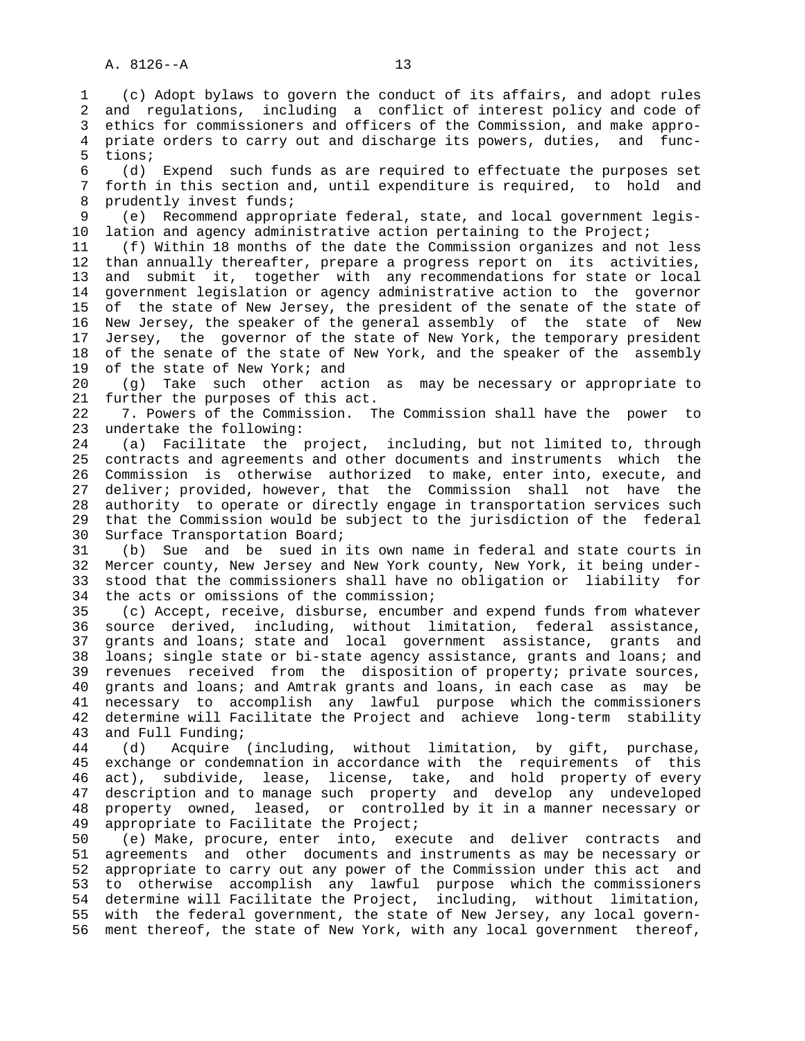5 tions;

 1 (c) Adopt bylaws to govern the conduct of its affairs, and adopt rules 2 and regulations, including a conflict of interest policy and code of 3 ethics for commissioners and officers of the Commission, and make appro- 4 priate orders to carry out and discharge its powers, duties, and func- 6 (d) Expend such funds as are required to effectuate the purposes set forth in this section and, until expenditure is required, to hold and 8 prudently invest funds;<br>9 (e) Recommend approp 9 (e) Recommend appropriate federal, state, and local government legis- 10 lation and agency administrative action pertaining to the Project; 11 (f) Within 18 months of the date the Commission organizes and not less 12 than annually thereafter, prepare a progress report on its activities, 13 and submit it, together with any recommendations for state or local

 14 government legislation or agency administrative action to the governor 15 of the state of New Jersey, the president of the senate of the state of 16 New Jersey, the speaker of the general assembly of the state of New 17 Jersey, the governor of the state of New York, the temporary president 18 of the senate of the state of New York, and the speaker of the assembly 19 of the state of New York; and

 20 (g) Take such other action as may be necessary or appropriate to 21 further the purposes of this act.

 22 7. Powers of the Commission. The Commission shall have the power to 23 undertake the following:

 24 (a) Facilitate the project, including, but not limited to, through 25 contracts and agreements and other documents and instruments which the 26 Commission is otherwise authorized to make, enter into, execute, and 27 deliver; provided, however, that the Commission shall not have the 28 authority to operate or directly engage in transportation services such 29 that the Commission would be subject to the jurisdiction of the federal 30 Surface Transportation Board;

 31 (b) Sue and be sued in its own name in federal and state courts in 32 Mercer county, New Jersey and New York county, New York, it being under- 33 stood that the commissioners shall have no obligation or liability for 34 the acts or omissions of the commission;

 35 (c) Accept, receive, disburse, encumber and expend funds from whatever 36 source derived, including, without limitation, federal assistance, 37 grants and loans; state and local government assistance, grants and 38 loans; single state or bi-state agency assistance, grants and loans; and 39 revenues received from the disposition of property; private sources, 40 grants and loans; and Amtrak grants and loans, in each case as may be 41 necessary to accomplish any lawful purpose which the commissioners 42 determine will Facilitate the Project and achieve long-term stability 43 and Full Funding;

 44 (d) Acquire (including, without limitation, by gift, purchase, 45 exchange or condemnation in accordance with the requirements of this 46 act), subdivide, lease, license, take, and hold property of every 47 description and to manage such property and develop any undeveloped 48 property owned, leased, or controlled by it in a manner necessary or 49 appropriate to Facilitate the Project;

 50 (e) Make, procure, enter into, execute and deliver contracts and 51 agreements and other documents and instruments as may be necessary or 52 appropriate to carry out any power of the Commission under this act and 53 to otherwise accomplish any lawful purpose which the commissioners 54 determine will Facilitate the Project, including, without limitation, 55 with the federal government, the state of New Jersey, any local govern- 56 ment thereof, the state of New York, with any local government thereof,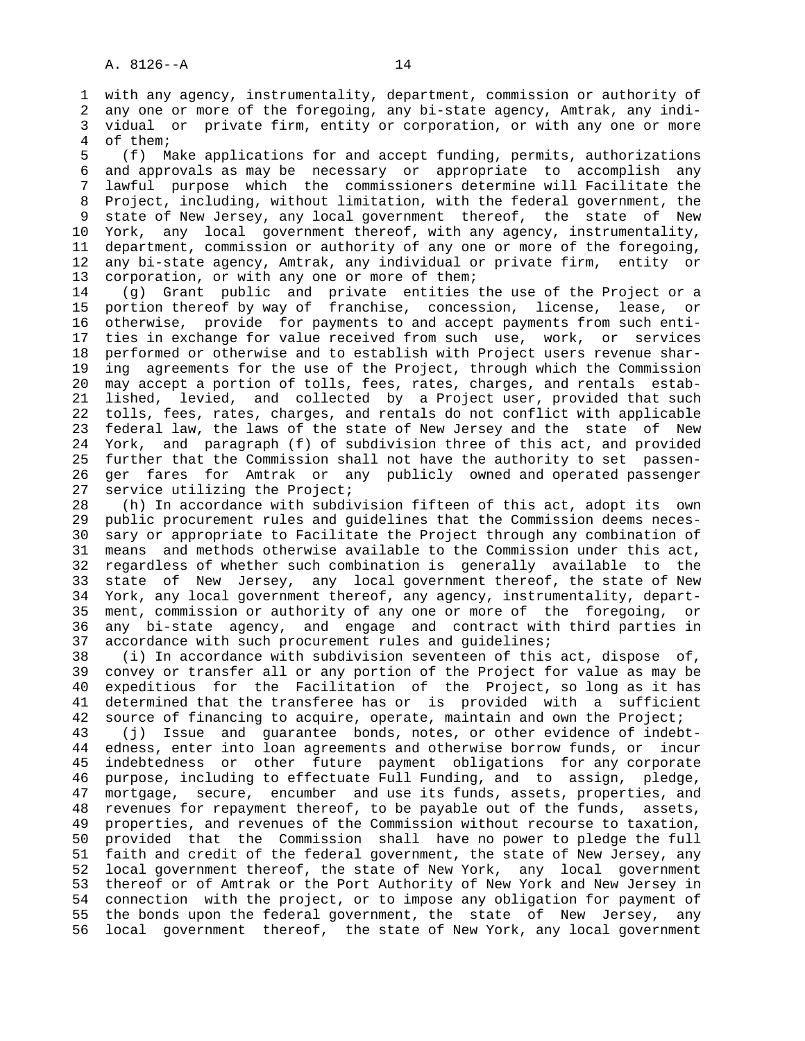1 with any agency, instrumentality, department, commission or authority of 2 any one or more of the foregoing, any bi-state agency, Amtrak, any indi- 3 vidual or private firm, entity or corporation, or with any one or more 4 of them;

 5 (f) Make applications for and accept funding, permits, authorizations 6 and approvals as may be necessary or appropriate to accomplish any 7 lawful purpose which the commissioners determine will Facilitate the 8 Project, including, without limitation, with the federal government, the 9 state of New Jersey, any local government thereof, the state of New 10 York, any local government thereof, with any agency, instrumentality, 11 department, commission or authority of any one or more of the foregoing, 12 any bi-state agency, Amtrak, any individual or private firm, entity or 13 corporation, or with any one or more of them;

 14 (g) Grant public and private entities the use of the Project or a 15 portion thereof by way of franchise, concession, license, lease, or 16 otherwise, provide for payments to and accept payments from such enti- 17 ties in exchange for value received from such use, work, or services 18 performed or otherwise and to establish with Project users revenue shar- 19 ing agreements for the use of the Project, through which the Commission 20 may accept a portion of tolls, fees, rates, charges, and rentals estab- 21 lished, levied, and collected by a Project user, provided that such 22 tolls, fees, rates, charges, and rentals do not conflict with applicable 23 federal law, the laws of the state of New Jersey and the state of New 24 York, and paragraph (f) of subdivision three of this act, and provided 25 further that the Commission shall not have the authority to set passen- 26 ger fares for Amtrak or any publicly owned and operated passenger 27 service utilizing the Project;

 28 (h) In accordance with subdivision fifteen of this act, adopt its own 29 public procurement rules and guidelines that the Commission deems neces- 30 sary or appropriate to Facilitate the Project through any combination of 31 means and methods otherwise available to the Commission under this act, 32 regardless of whether such combination is generally available to the 33 state of New Jersey, any local government thereof, the state of New 34 York, any local government thereof, any agency, instrumentality, depart- 35 ment, commission or authority of any one or more of the foregoing, or 36 any bi-state agency, and engage and contract with third parties in 37 accordance with such procurement rules and guidelines;

 38 (i) In accordance with subdivision seventeen of this act, dispose of, 39 convey or transfer all or any portion of the Project for value as may be 40 expeditious for the Facilitation of the Project, so long as it has 41 determined that the transferee has or is provided with a sufficient 42 source of financing to acquire, operate, maintain and own the Project;

 43 (j) Issue and guarantee bonds, notes, or other evidence of indebt- 44 edness, enter into loan agreements and otherwise borrow funds, or incur 45 indebtedness or other future payment obligations for any corporate 46 purpose, including to effectuate Full Funding, and to assign, pledge, 47 mortgage, secure, encumber and use its funds, assets, properties, and 48 revenues for repayment thereof, to be payable out of the funds, assets, 49 properties, and revenues of the Commission without recourse to taxation, 50 provided that the Commission shall have no power to pledge the full 51 faith and credit of the federal government, the state of New Jersey, any 52 local government thereof, the state of New York, any local government 53 thereof or of Amtrak or the Port Authority of New York and New Jersey in 54 connection with the project, or to impose any obligation for payment of 55 the bonds upon the federal government, the state of New Jersey, any 56 local government thereof, the state of New York, any local government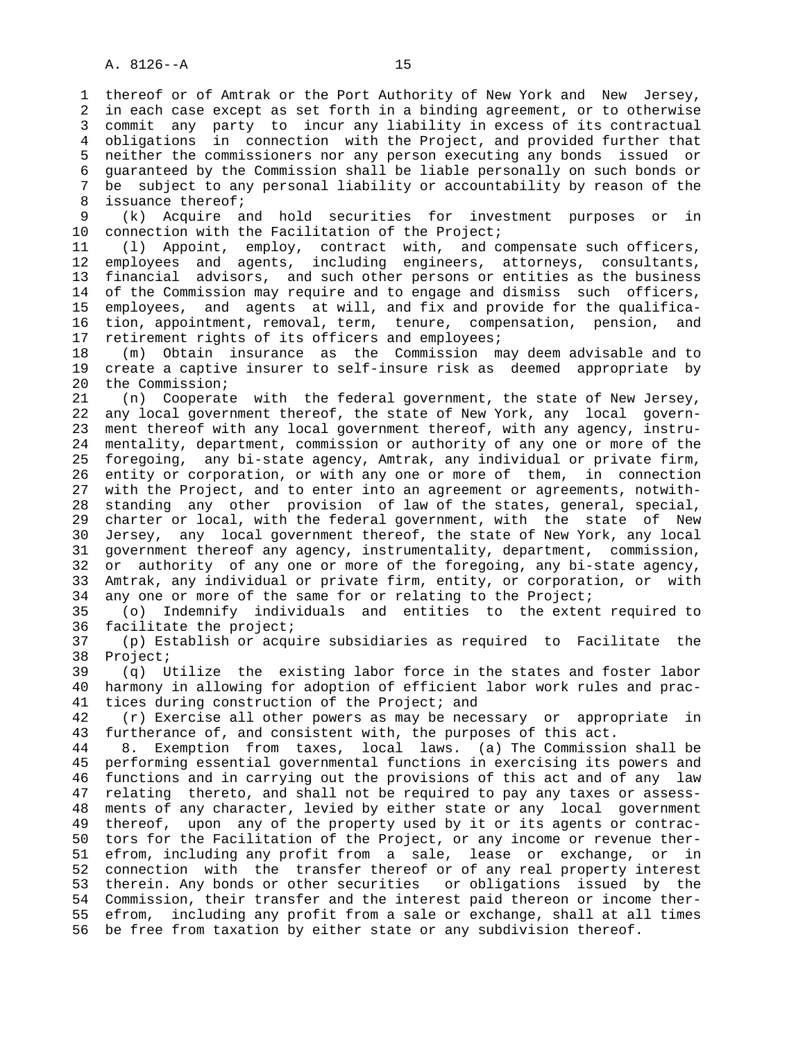1 thereof or of Amtrak or the Port Authority of New York and New Jersey, 2 in each case except as set forth in a binding agreement, or to otherwise 3 commit any party to incur any liability in excess of its contractual 4 obligations in connection with the Project, and provided further that 5 neither the commissioners nor any person executing any bonds issued or 6 guaranteed by the Commission shall be liable personally on such bonds or 7 be subject to any personal liability or accountability by reason of the 8 issuance thereof;<br>9 (k) Acquire a

 9 (k) Acquire and hold securities for investment purposes or in 10 connection with the Facilitation of the Project;

 11 (l) Appoint, employ, contract with, and compensate such officers, 12 employees and agents, including engineers, attorneys, consultants, 13 financial advisors, and such other persons or entities as the business 14 of the Commission may require and to engage and dismiss such officers, 15 employees, and agents at will, and fix and provide for the qualifica- 16 tion, appointment, removal, term, tenure, compensation, pension, and 17 retirement rights of its officers and employees;

 18 (m) Obtain insurance as the Commission may deem advisable and to 19 create a captive insurer to self-insure risk as deemed appropriate by 20 the Commission;

 21 (n) Cooperate with the federal government, the state of New Jersey, 22 any local government thereof, the state of New York, any local govern- 23 ment thereof with any local government thereof, with any agency, instru- 24 mentality, department, commission or authority of any one or more of the 25 foregoing, any bi-state agency, Amtrak, any individual or private firm, 26 entity or corporation, or with any one or more of them, in connection 27 with the Project, and to enter into an agreement or agreements, notwith- 28 standing any other provision of law of the states, general, special, 29 charter or local, with the federal government, with the state of New 30 Jersey, any local government thereof, the state of New York, any local 31 government thereof any agency, instrumentality, department, commission, 32 or authority of any one or more of the foregoing, any bi-state agency, 33 Amtrak, any individual or private firm, entity, or corporation, or with 34 any one or more of the same for or relating to the Project;

 35 (o) Indemnify individuals and entities to the extent required to 36 facilitate the project;

 37 (p) Establish or acquire subsidiaries as required to Facilitate the 38 Project;

 39 (q) Utilize the existing labor force in the states and foster labor 40 harmony in allowing for adoption of efficient labor work rules and prac- 41 tices during construction of the Project; and

 42 (r) Exercise all other powers as may be necessary or appropriate in 43 furtherance of, and consistent with, the purposes of this act.

 44 8. Exemption from taxes, local laws. (a) The Commission shall be 45 performing essential governmental functions in exercising its powers and 46 functions and in carrying out the provisions of this act and of any law 47 relating thereto, and shall not be required to pay any taxes or assess- 48 ments of any character, levied by either state or any local government 49 thereof, upon any of the property used by it or its agents or contrac- 50 tors for the Facilitation of the Project, or any income or revenue ther- 51 efrom, including any profit from a sale, lease or exchange, or in 52 connection with the transfer thereof or of any real property interest 53 therein. Any bonds or other securities or obligations issued by the 54 Commission, their transfer and the interest paid thereon or income ther- 55 efrom, including any profit from a sale or exchange, shall at all times 56 be free from taxation by either state or any subdivision thereof.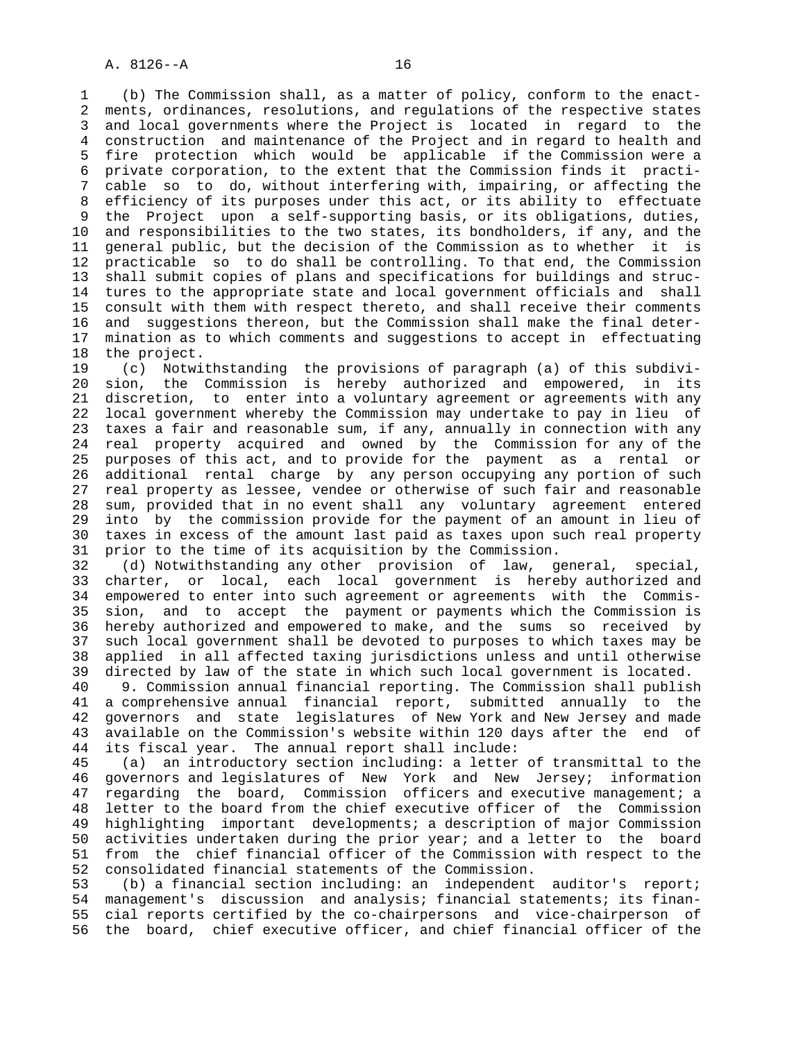1 (b) The Commission shall, as a matter of policy, conform to the enact- 2 ments, ordinances, resolutions, and regulations of the respective states 3 and local governments where the Project is located in regard to the 4 construction and maintenance of the Project and in regard to health and 5 fire protection which would be applicable if the Commission were a 6 private corporation, to the extent that the Commission finds it practi- 7 cable so to do, without interfering with, impairing, or affecting the 8 efficiency of its purposes under this act, or its ability to effectuate<br>8 the Project upon a self-supporting basis, or its obligations, duties, the Project upon a self-supporting basis, or its obligations, duties, 10 and responsibilities to the two states, its bondholders, if any, and the 11 general public, but the decision of the Commission as to whether it is 12 practicable so to do shall be controlling. To that end, the Commission 13 shall submit copies of plans and specifications for buildings and struc- 14 tures to the appropriate state and local government officials and shall 15 consult with them with respect thereto, and shall receive their comments 16 and suggestions thereon, but the Commission shall make the final deter- 17 mination as to which comments and suggestions to accept in effectuating 18 the project.

 19 (c) Notwithstanding the provisions of paragraph (a) of this subdivi- 20 sion, the Commission is hereby authorized and empowered, in its 21 discretion, to enter into a voluntary agreement or agreements with any 22 local government whereby the Commission may undertake to pay in lieu of 23 taxes a fair and reasonable sum, if any, annually in connection with any 24 real property acquired and owned by the Commission for any of the 25 purposes of this act, and to provide for the payment as a rental or 26 additional rental charge by any person occupying any portion of such 27 real property as lessee, vendee or otherwise of such fair and reasonable 28 sum, provided that in no event shall any voluntary agreement entered 29 into by the commission provide for the payment of an amount in lieu of 30 taxes in excess of the amount last paid as taxes upon such real property 31 prior to the time of its acquisition by the Commission.

 32 (d) Notwithstanding any other provision of law, general, special, 33 charter, or local, each local government is hereby authorized and 34 empowered to enter into such agreement or agreements with the Commis- 35 sion, and to accept the payment or payments which the Commission is 36 hereby authorized and empowered to make, and the sums so received by 37 such local government shall be devoted to purposes to which taxes may be 38 applied in all affected taxing jurisdictions unless and until otherwise 39 directed by law of the state in which such local government is located.

 40 9. Commission annual financial reporting. The Commission shall publish 41 a comprehensive annual financial report, submitted annually to the 42 governors and state legislatures of New York and New Jersey and made 43 available on the Commission's website within 120 days after the end of 44 its fiscal year. The annual report shall include:

 45 (a) an introductory section including: a letter of transmittal to the 46 governors and legislatures of New York and New Jersey; information 47 regarding the board, Commission officers and executive management; a 48 letter to the board from the chief executive officer of the Commission 49 highlighting important developments; a description of major Commission 50 activities undertaken during the prior year; and a letter to the board 51 from the chief financial officer of the Commission with respect to the 52 consolidated financial statements of the Commission.

 53 (b) a financial section including: an independent auditor's report; 54 management's discussion and analysis; financial statements; its finan- 55 cial reports certified by the co-chairpersons and vice-chairperson of 56 the board, chief executive officer, and chief financial officer of the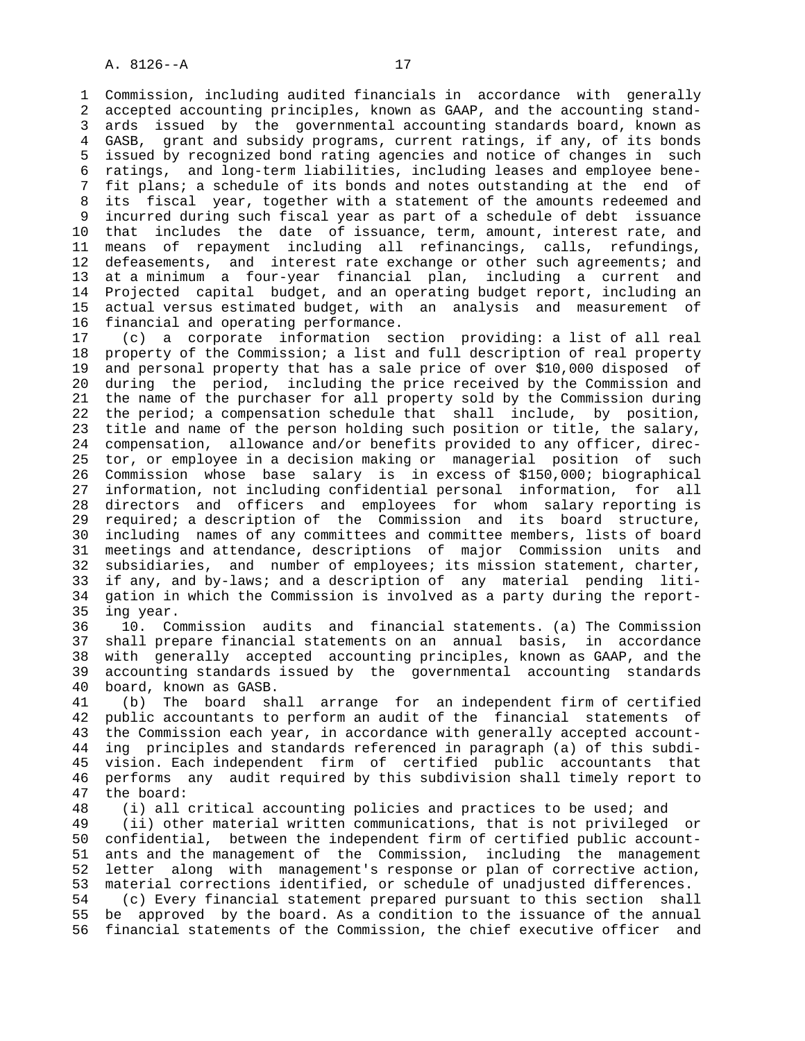1 Commission, including audited financials in accordance with generally 2 accepted accounting principles, known as GAAP, and the accounting stand- 3 ards issued by the governmental accounting standards board, known as 4 GASB, grant and subsidy programs, current ratings, if any, of its bonds 5 issued by recognized bond rating agencies and notice of changes in such 6 ratings, and long-term liabilities, including leases and employee bene- 7 fit plans; a schedule of its bonds and notes outstanding at the end of 8 its fiscal year, together with a statement of the amounts redeemed and 9 incurred during such fiscal year as part of a schedule of debt issuance 10 that includes the date of issuance, term, amount, interest rate, and 11 means of repayment including all refinancings, calls, refundings, 12 defeasements, and interest rate exchange or other such agreements; and 13 at a minimum a four-year financial plan, including a current and 14 Projected capital budget, and an operating budget report, including an 15 actual versus estimated budget, with an analysis and measurement of 16 financial and operating performance.

 17 (c) a corporate information section providing: a list of all real 18 property of the Commission; a list and full description of real property 19 and personal property that has a sale price of over \$10,000 disposed of 20 during the period, including the price received by the Commission and 21 the name of the purchaser for all property sold by the Commission during 22 the period; a compensation schedule that shall include, by position, 23 title and name of the person holding such position or title, the salary, 24 compensation, allowance and/or benefits provided to any officer, direc- 25 tor, or employee in a decision making or managerial position of such 26 Commission whose base salary is in excess of \$150,000; biographical 27 information, not including confidential personal information, for all 28 directors and officers and employees for whom salary reporting is 29 required; a description of the Commission and its board structure, 30 including names of any committees and committee members, lists of board 31 meetings and attendance, descriptions of major Commission units and 32 subsidiaries, and number of employees; its mission statement, charter, 33 if any, and by-laws; and a description of any material pending liti- 34 gation in which the Commission is involved as a party during the report- 35 ing year.

 36 10. Commission audits and financial statements. (a) The Commission 37 shall prepare financial statements on an annual basis, in accordance 38 with generally accepted accounting principles, known as GAAP, and the 39 accounting standards issued by the governmental accounting standards 40 board, known as GASB.

 41 (b) The board shall arrange for an independent firm of certified 42 public accountants to perform an audit of the financial statements of 43 the Commission each year, in accordance with generally accepted account- 44 ing principles and standards referenced in paragraph (a) of this subdi- 45 vision. Each independent firm of certified public accountants that 46 performs any audit required by this subdivision shall timely report to 47 the board:

 48 (i) all critical accounting policies and practices to be used; and 49 (ii) other material written communications, that is not privileged or 50 confidential, between the independent firm of certified public account- 51 ants and the management of the Commission, including the management 52 letter along with management's response or plan of corrective action, 53 material corrections identified, or schedule of unadjusted differences. 54 (c) Every financial statement prepared pursuant to this section shall 55 be approved by the board. As a condition to the issuance of the annual 56 financial statements of the Commission, the chief executive officer and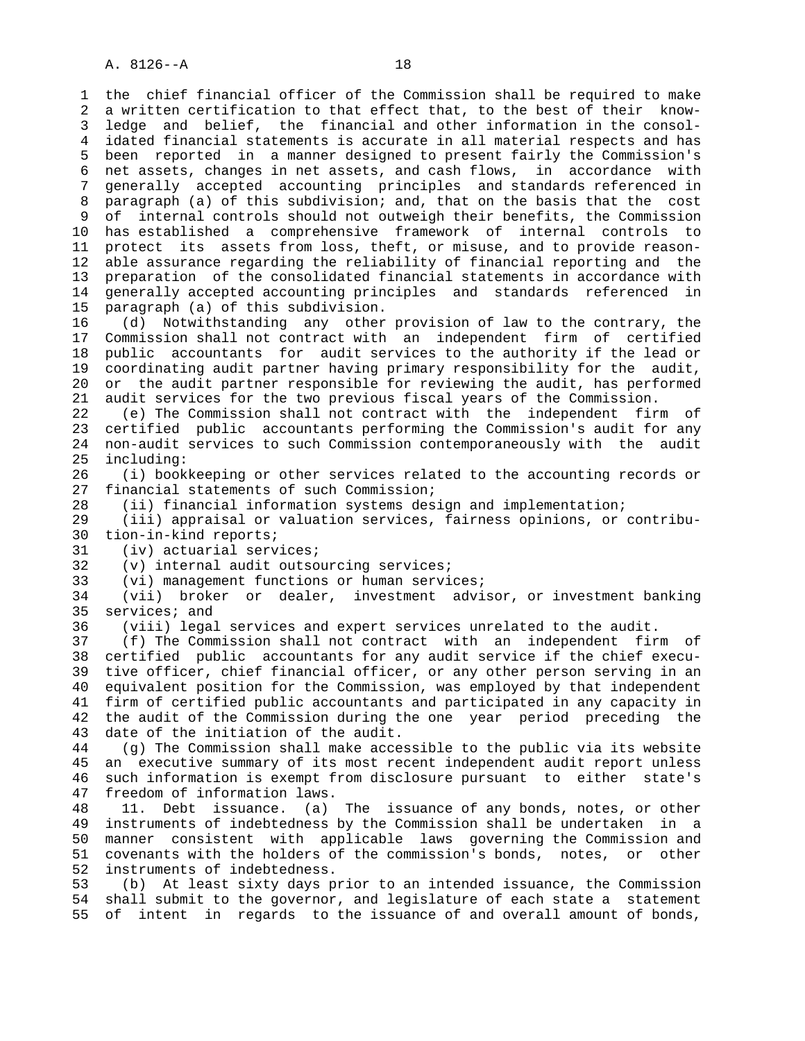1 the chief financial officer of the Commission shall be required to make 2 a written certification to that effect that, to the best of their know- 3 ledge and belief, the financial and other information in the consol- 4 idated financial statements is accurate in all material respects and has 5 been reported in a manner designed to present fairly the Commission's 6 net assets, changes in net assets, and cash flows, in accordance with 7 generally accepted accounting principles and standards referenced in 8 paragraph (a) of this subdivision; and, that on the basis that the cost of internal controls should not outweigh their benefits, the Commission 10 has established a comprehensive framework of internal controls to 11 protect its assets from loss, theft, or misuse, and to provide reason- 12 able assurance regarding the reliability of financial reporting and the 13 preparation of the consolidated financial statements in accordance with 14 generally accepted accounting principles and standards referenced in 15 paragraph (a) of this subdivision. 16 (d) Notwithstanding any other provision of law to the contrary, the 17 Commission shall not contract with an independent firm of certified 18 public accountants for audit services to the authority if the lead or 19 coordinating audit partner having primary responsibility for the audit, 20 or the audit partner responsible for reviewing the audit, has performed 21 audit services for the two previous fiscal years of the Commission. 22 (e) The Commission shall not contract with the independent firm of 23 certified public accountants performing the Commission's audit for any 24 non-audit services to such Commission contemporaneously with the audit 25 including: 26 (i) bookkeeping or other services related to the accounting records or 27 financial statements of such Commission; 28 (ii) financial information systems design and implementation; 29 (iii) appraisal or valuation services, fairness opinions, or contribu- 30 tion-in-kind reports; 31 (iv) actuarial services; 32 (v) internal audit outsourcing services; 33 (vi) management functions or human services; 34 (vii) broker or dealer, investment advisor, or investment banking 35 services; and 36 (viii) legal services and expert services unrelated to the audit. 37 (f) The Commission shall not contract with an independent firm of 38 certified public accountants for any audit service if the chief execu- 39 tive officer, chief financial officer, or any other person serving in an 40 equivalent position for the Commission, was employed by that independent 41 firm of certified public accountants and participated in any capacity in 42 the audit of the Commission during the one year period preceding the 43 date of the initiation of the audit. 44 (g) The Commission shall make accessible to the public via its website 45 an executive summary of its most recent independent audit report unless 46 such information is exempt from disclosure pursuant to either state's 47 freedom of information laws. 48 11. Debt issuance. (a) The issuance of any bonds, notes, or other 49 instruments of indebtedness by the Commission shall be undertaken in a 50 manner consistent with applicable laws governing the Commission and 51 covenants with the holders of the commission's bonds, notes, or other 52 instruments of indebtedness. 53 (b) At least sixty days prior to an intended issuance, the Commission 54 shall submit to the governor, and legislature of each state a statement 55 of intent in regards to the issuance of and overall amount of bonds,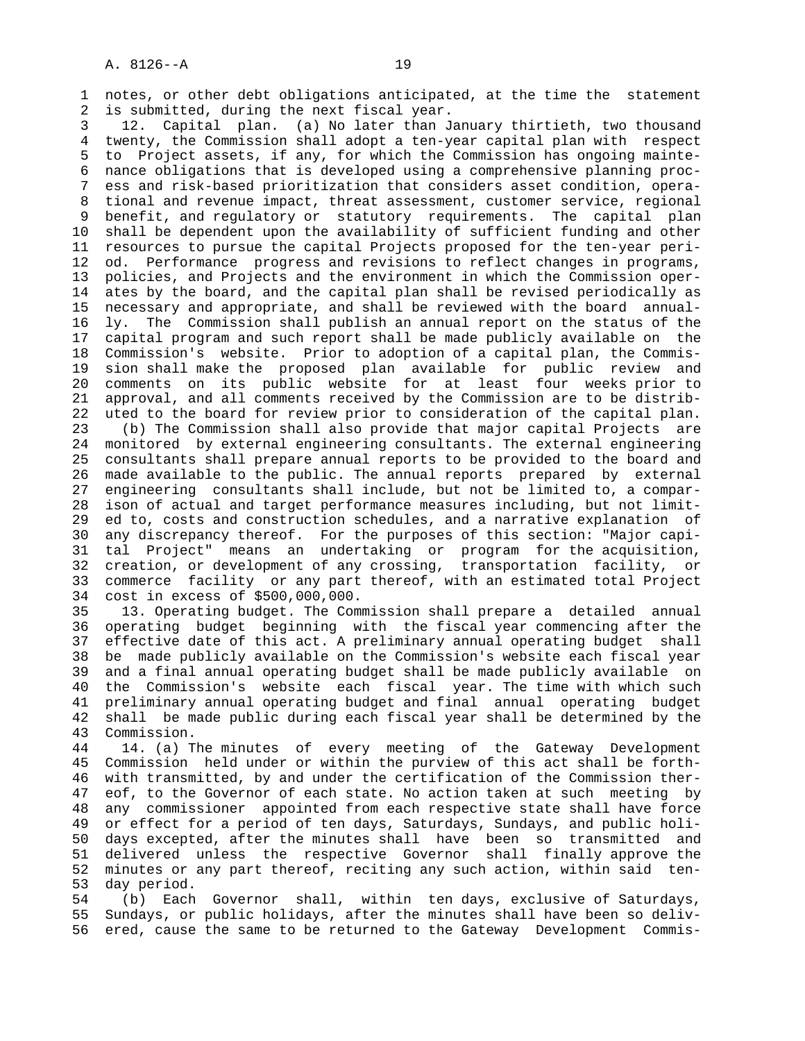1 notes, or other debt obligations anticipated, at the time the statement 2 is submitted, during the next fiscal year.

 3 12. Capital plan. (a) No later than January thirtieth, two thousand 4 twenty, the Commission shall adopt a ten-year capital plan with respect 5 to Project assets, if any, for which the Commission has ongoing mainte- 6 nance obligations that is developed using a comprehensive planning proc- 7 ess and risk-based prioritization that considers asset condition, opera- 8 tional and revenue impact, threat assessment, customer service, regional 9 benefit, and regulatory or statutory requirements. The capital plan 10 shall be dependent upon the availability of sufficient funding and other 11 resources to pursue the capital Projects proposed for the ten-year peri- 12 od. Performance progress and revisions to reflect changes in programs, 13 policies, and Projects and the environment in which the Commission oper- 14 ates by the board, and the capital plan shall be revised periodically as 15 necessary and appropriate, and shall be reviewed with the board annual- 16 ly. The Commission shall publish an annual report on the status of the 17 capital program and such report shall be made publicly available on the 18 Commission's website. Prior to adoption of a capital plan, the Commis- 19 sion shall make the proposed plan available for public review and 20 comments on its public website for at least four weeks prior to 21 approval, and all comments received by the Commission are to be distrib- 22 uted to the board for review prior to consideration of the capital plan. 23 (b) The Commission shall also provide that major capital Projects are 24 monitored by external engineering consultants. The external engineering 25 consultants shall prepare annual reports to be provided to the board and 26 made available to the public. The annual reports prepared by external 27 engineering consultants shall include, but not be limited to, a compar- 28 ison of actual and target performance measures including, but not limit- 29 ed to, costs and construction schedules, and a narrative explanation of 30 any discrepancy thereof. For the purposes of this section: "Major capi- 31 tal Project" means an undertaking or program for the acquisition, 32 creation, or development of any crossing, transportation facility, or 33 commerce facility or any part thereof, with an estimated total Project 34 cost in excess of \$500,000,000.

 35 13. Operating budget. The Commission shall prepare a detailed annual 36 operating budget beginning with the fiscal year commencing after the 37 effective date of this act. A preliminary annual operating budget shall 38 be made publicly available on the Commission's website each fiscal year 39 and a final annual operating budget shall be made publicly available on 40 the Commission's website each fiscal year. The time with which such 41 preliminary annual operating budget and final annual operating budget 42 shall be made public during each fiscal year shall be determined by the 43 Commission.

 44 14. (a) The minutes of every meeting of the Gateway Development 45 Commission held under or within the purview of this act shall be forth- 46 with transmitted, by and under the certification of the Commission ther- 47 eof, to the Governor of each state. No action taken at such meeting by 48 any commissioner appointed from each respective state shall have force 49 or effect for a period of ten days, Saturdays, Sundays, and public holi- 50 days excepted, after the minutes shall have been so transmitted and 51 delivered unless the respective Governor shall finally approve the 52 minutes or any part thereof, reciting any such action, within said ten- 53 day period.

 54 (b) Each Governor shall, within ten days, exclusive of Saturdays, 55 Sundays, or public holidays, after the minutes shall have been so deliv- 56 ered, cause the same to be returned to the Gateway Development Commis-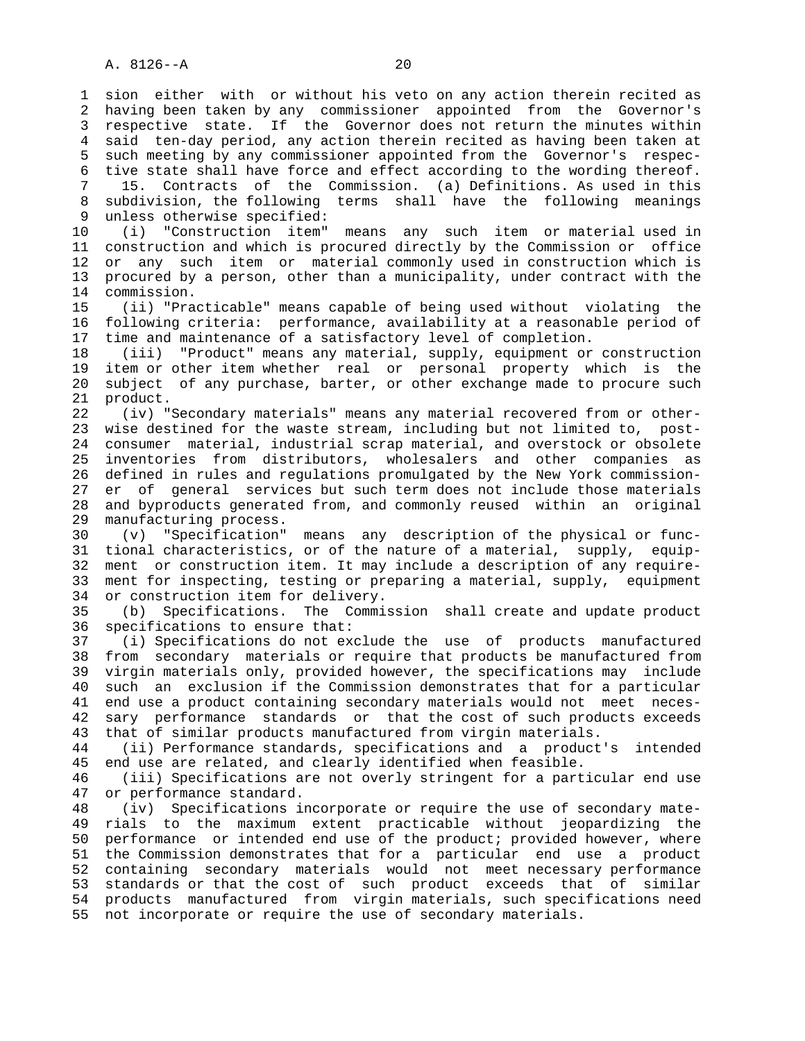1 sion either with or without his veto on any action therein recited as 2 having been taken by any commissioner appointed from the Governor's 3 respective state. If the Governor does not return the minutes within 4 said ten-day period, any action therein recited as having been taken at 5 such meeting by any commissioner appointed from the Governor's respec- 6 tive state shall have force and effect according to the wording thereof. 7 15. Contracts of the Commission. (a) Definitions. As used in this 8 subdivision, the following terms shall have the following meanings<br>9 unless otherwise specified: unless otherwise specified: 10 (i) "Construction item" means any such item or material used in 11 construction and which is procured directly by the Commission or office 12 or any such item or material commonly used in construction which is 13 procured by a person, other than a municipality, under contract with the 14 commission. 15 (ii) "Practicable" means capable of being used without violating the 16 following criteria: performance, availability at a reasonable period of 17 time and maintenance of a satisfactory level of completion. 18 (iii) "Product" means any material, supply, equipment or construction 19 item or other item whether real or personal property which is the 20 subject of any purchase, barter, or other exchange made to procure such 21 product. 22 (iv) "Secondary materials" means any material recovered from or other- 23 wise destined for the waste stream, including but not limited to, post- 24 consumer material, industrial scrap material, and overstock or obsolete 25 inventories from distributors, wholesalers and other companies as 26 defined in rules and regulations promulgated by the New York commission- 27 er of general services but such term does not include those materials 28 and byproducts generated from, and commonly reused within an original 29 manufacturing process. 30 (v) "Specification" means any description of the physical or func- 31 tional characteristics, or of the nature of a material, supply, equip- 32 ment or construction item. It may include a description of any require- 33 ment for inspecting, testing or preparing a material, supply, equipment 34 or construction item for delivery. 35 (b) Specifications. The Commission shall create and update product 36 specifications to ensure that: 37 (i) Specifications do not exclude the use of products manufactured 38 from secondary materials or require that products be manufactured from 39 virgin materials only, provided however, the specifications may include 40 such an exclusion if the Commission demonstrates that for a particular 41 end use a product containing secondary materials would not meet neces- 42 sary performance standards or that the cost of such products exceeds 43 that of similar products manufactured from virgin materials. 44 (ii) Performance standards, specifications and a product's intended 45 end use are related, and clearly identified when feasible. 46 (iii) Specifications are not overly stringent for a particular end use 47 or performance standard. 48 (iv) Specifications incorporate or require the use of secondary mate- 49 rials to the maximum extent practicable without jeopardizing the 50 performance or intended end use of the product; provided however, where 51 the Commission demonstrates that for a particular end use a product 52 containing secondary materials would not meet necessary performance 53 standards or that the cost of such product exceeds that of similar 54 products manufactured from virgin materials, such specifications need 55 not incorporate or require the use of secondary materials.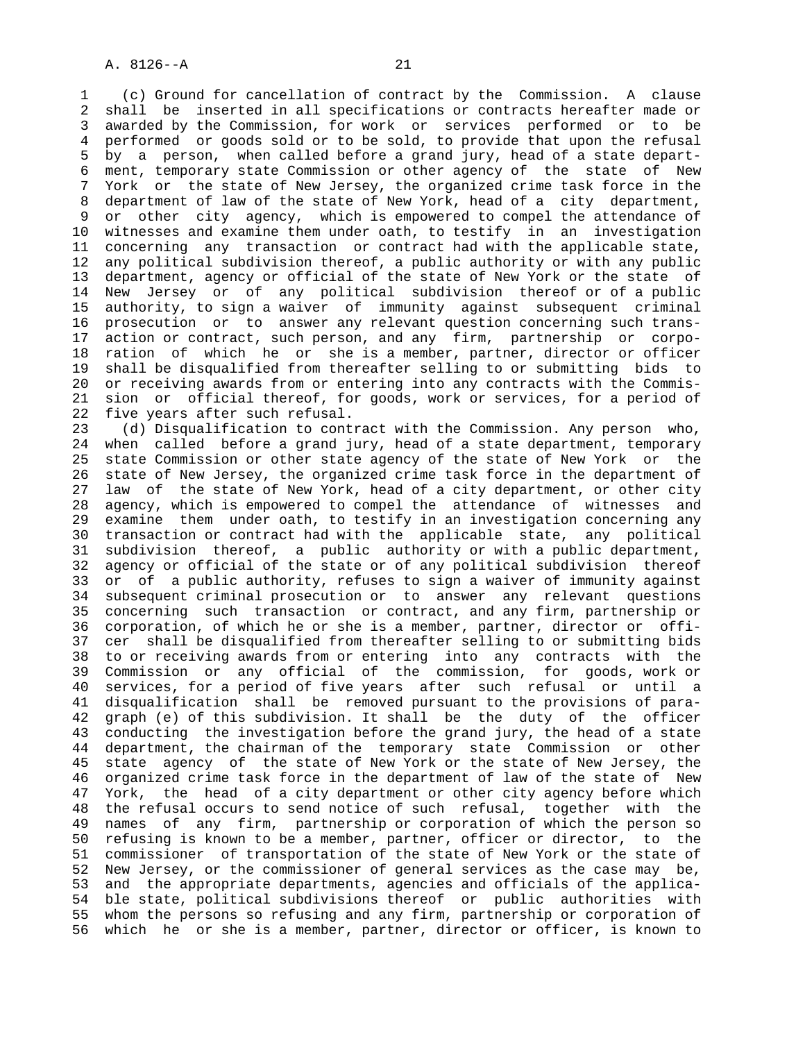1 (c) Ground for cancellation of contract by the Commission. A clause 2 shall be inserted in all specifications or contracts hereafter made or 3 awarded by the Commission, for work or services performed or to be 4 performed or goods sold or to be sold, to provide that upon the refusal 5 by a person, when called before a grand jury, head of a state depart- 6 ment, temporary state Commission or other agency of the state of New 7 York or the state of New Jersey, the organized crime task force in the 8 department of law of the state of New York, head of a city department,<br>9 or other city agency, which is empowered to compel the attendance of or other city agency, which is empowered to compel the attendance of 10 witnesses and examine them under oath, to testify in an investigation 11 concerning any transaction or contract had with the applicable state, 12 any political subdivision thereof, a public authority or with any public 13 department, agency or official of the state of New York or the state of 14 New Jersey or of any political subdivision thereof or of a public 15 authority, to sign a waiver of immunity against subsequent criminal 16 prosecution or to answer any relevant question concerning such trans- 17 action or contract, such person, and any firm, partnership or corpo- 18 ration of which he or she is a member, partner, director or officer 19 shall be disqualified from thereafter selling to or submitting bids to 20 or receiving awards from or entering into any contracts with the Commis- 21 sion or official thereof, for goods, work or services, for a period of 22 five years after such refusal.

 23 (d) Disqualification to contract with the Commission. Any person who, 24 when called before a grand jury, head of a state department, temporary 25 state Commission or other state agency of the state of New York or the 26 state of New Jersey, the organized crime task force in the department of 27 law of the state of New York, head of a city department, or other city 28 agency, which is empowered to compel the attendance of witnesses and 29 examine them under oath, to testify in an investigation concerning any 30 transaction or contract had with the applicable state, any political 31 subdivision thereof, a public authority or with a public department, 32 agency or official of the state or of any political subdivision thereof 33 or of a public authority, refuses to sign a waiver of immunity against 34 subsequent criminal prosecution or to answer any relevant questions 35 concerning such transaction or contract, and any firm, partnership or 36 corporation, of which he or she is a member, partner, director or offi- 37 cer shall be disqualified from thereafter selling to or submitting bids 38 to or receiving awards from or entering into any contracts with the 39 Commission or any official of the commission, for goods, work or 40 services, for a period of five years after such refusal or until a 41 disqualification shall be removed pursuant to the provisions of para- 42 graph (e) of this subdivision. It shall be the duty of the officer 43 conducting the investigation before the grand jury, the head of a state 44 department, the chairman of the temporary state Commission or other 45 state agency of the state of New York or the state of New Jersey, the 46 organized crime task force in the department of law of the state of New 47 York, the head of a city department or other city agency before which 48 the refusal occurs to send notice of such refusal, together with the 49 names of any firm, partnership or corporation of which the person so 50 refusing is known to be a member, partner, officer or director, to the 51 commissioner of transportation of the state of New York or the state of 52 New Jersey, or the commissioner of general services as the case may be, 53 and the appropriate departments, agencies and officials of the applica- 54 ble state, political subdivisions thereof or public authorities with 55 whom the persons so refusing and any firm, partnership or corporation of 56 which he or she is a member, partner, director or officer, is known to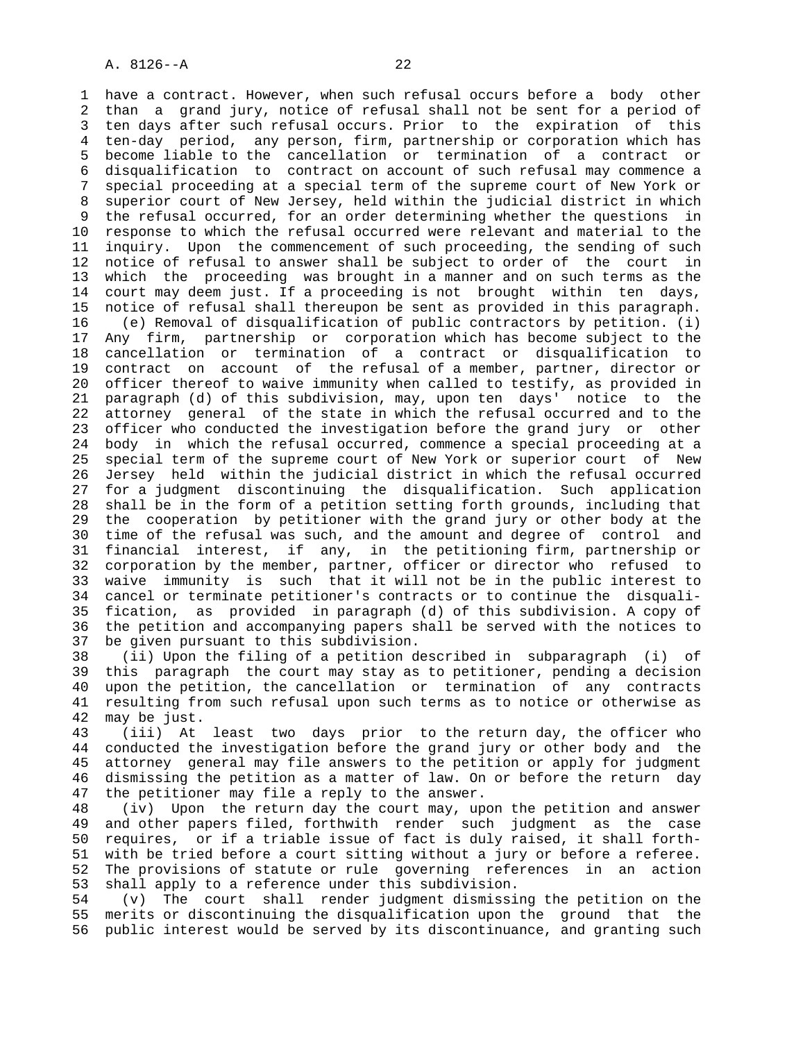1 have a contract. However, when such refusal occurs before a body other 2 than a grand jury, notice of refusal shall not be sent for a period of 3 ten days after such refusal occurs. Prior to the expiration of this 4 ten-day period, any person, firm, partnership or corporation which has 5 become liable to the cancellation or termination of a contract or 6 disqualification to contract on account of such refusal may commence a 7 special proceeding at a special term of the supreme court of New York or 8 superior court of New Jersey, held within the judicial district in which the refusal occurred, for an order determining whether the questions in 10 response to which the refusal occurred were relevant and material to the 11 inquiry. Upon the commencement of such proceeding, the sending of such 12 notice of refusal to answer shall be subject to order of the court in 13 which the proceeding was brought in a manner and on such terms as the 14 court may deem just. If a proceeding is not brought within ten days, 15 notice of refusal shall thereupon be sent as provided in this paragraph. 16 (e) Removal of disqualification of public contractors by petition. (i) 17 Any firm, partnership or corporation which has become subject to the 18 cancellation or termination of a contract or disqualification to 19 contract on account of the refusal of a member, partner, director or 20 officer thereof to waive immunity when called to testify, as provided in 21 paragraph (d) of this subdivision, may, upon ten days' notice to the 22 attorney general of the state in which the refusal occurred and to the 23 officer who conducted the investigation before the grand jury or other 24 body in which the refusal occurred, commence a special proceeding at a 25 special term of the supreme court of New York or superior court of New 26 Jersey held within the judicial district in which the refusal occurred 27 for a judgment discontinuing the disqualification. Such application 28 shall be in the form of a petition setting forth grounds, including that 29 the cooperation by petitioner with the grand jury or other body at the 30 time of the refusal was such, and the amount and degree of control and 31 financial interest, if any, in the petitioning firm, partnership or 32 corporation by the member, partner, officer or director who refused to 33 waive immunity is such that it will not be in the public interest to 34 cancel or terminate petitioner's contracts or to continue the disquali- 35 fication, as provided in paragraph (d) of this subdivision. A copy of 36 the petition and accompanying papers shall be served with the notices to 37 be given pursuant to this subdivision.

 38 (ii) Upon the filing of a petition described in subparagraph (i) of 39 this paragraph the court may stay as to petitioner, pending a decision 40 upon the petition, the cancellation or termination of any contracts 41 resulting from such refusal upon such terms as to notice or otherwise as 42 may be just.

 43 (iii) At least two days prior to the return day, the officer who 44 conducted the investigation before the grand jury or other body and the 45 attorney general may file answers to the petition or apply for judgment 46 dismissing the petition as a matter of law. On or before the return day 47 the petitioner may file a reply to the answer.

 48 (iv) Upon the return day the court may, upon the petition and answer 49 and other papers filed, forthwith render such judgment as the case 50 requires, or if a triable issue of fact is duly raised, it shall forth- 51 with be tried before a court sitting without a jury or before a referee. 52 The provisions of statute or rule governing references in an action 53 shall apply to a reference under this subdivision.

 54 (v) The court shall render judgment dismissing the petition on the 55 merits or discontinuing the disqualification upon the ground that the 56 public interest would be served by its discontinuance, and granting such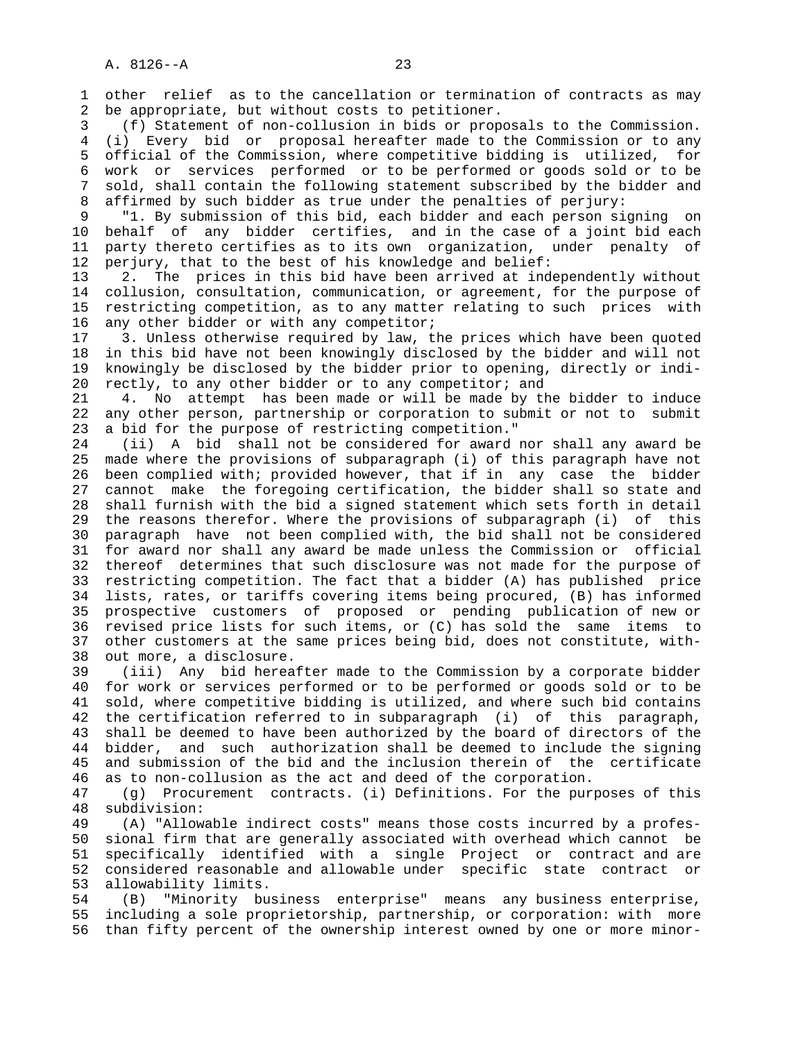1 other relief as to the cancellation or termination of contracts as may 2 be appropriate, but without costs to petitioner.

 3 (f) Statement of non-collusion in bids or proposals to the Commission. 4 (i) Every bid or proposal hereafter made to the Commission or to any 5 official of the Commission, where competitive bidding is utilized, for 6 work or services performed or to be performed or goods sold or to be 7 sold, shall contain the following statement subscribed by the bidder and 8 affirmed by such bidder as true under the penalties of perjury:<br>9 T1. By submission of this bid, each bidder and each person si

"1. By submission of this bid, each bidder and each person signing on 10 behalf of any bidder certifies, and in the case of a joint bid each 11 party thereto certifies as to its own organization, under penalty of 12 perjury, that to the best of his knowledge and belief:

 13 2. The prices in this bid have been arrived at independently without 14 collusion, consultation, communication, or agreement, for the purpose of 15 restricting competition, as to any matter relating to such prices with 16 any other bidder or with any competitor;

 17 3. Unless otherwise required by law, the prices which have been quoted 18 in this bid have not been knowingly disclosed by the bidder and will not 19 knowingly be disclosed by the bidder prior to opening, directly or indi- 20 rectly, to any other bidder or to any competitor; and

 21 4. No attempt has been made or will be made by the bidder to induce 22 any other person, partnership or corporation to submit or not to submit 23 a bid for the purpose of restricting competition."

 24 (ii) A bid shall not be considered for award nor shall any award be 25 made where the provisions of subparagraph (i) of this paragraph have not 26 been complied with; provided however, that if in any case the bidder 27 cannot make the foregoing certification, the bidder shall so state and 28 shall furnish with the bid a signed statement which sets forth in detail 29 the reasons therefor. Where the provisions of subparagraph (i) of this 30 paragraph have not been complied with, the bid shall not be considered 31 for award nor shall any award be made unless the Commission or official 32 thereof determines that such disclosure was not made for the purpose of 33 restricting competition. The fact that a bidder (A) has published price 34 lists, rates, or tariffs covering items being procured, (B) has informed 35 prospective customers of proposed or pending publication of new or 36 revised price lists for such items, or (C) has sold the same items to 37 other customers at the same prices being bid, does not constitute, with- 38 out more, a disclosure.

 39 (iii) Any bid hereafter made to the Commission by a corporate bidder 40 for work or services performed or to be performed or goods sold or to be 41 sold, where competitive bidding is utilized, and where such bid contains 42 the certification referred to in subparagraph (i) of this paragraph, 43 shall be deemed to have been authorized by the board of directors of the 44 bidder, and such authorization shall be deemed to include the signing 45 and submission of the bid and the inclusion therein of the certificate 46 as to non-collusion as the act and deed of the corporation.

 47 (g) Procurement contracts. (i) Definitions. For the purposes of this 48 subdivision:

 49 (A) "Allowable indirect costs" means those costs incurred by a profes- 50 sional firm that are generally associated with overhead which cannot be 51 specifically identified with a single Project or contract and are 52 considered reasonable and allowable under specific state contract or 53 allowability limits.

 54 (B) "Minority business enterprise" means any business enterprise, 55 including a sole proprietorship, partnership, or corporation: with more 56 than fifty percent of the ownership interest owned by one or more minor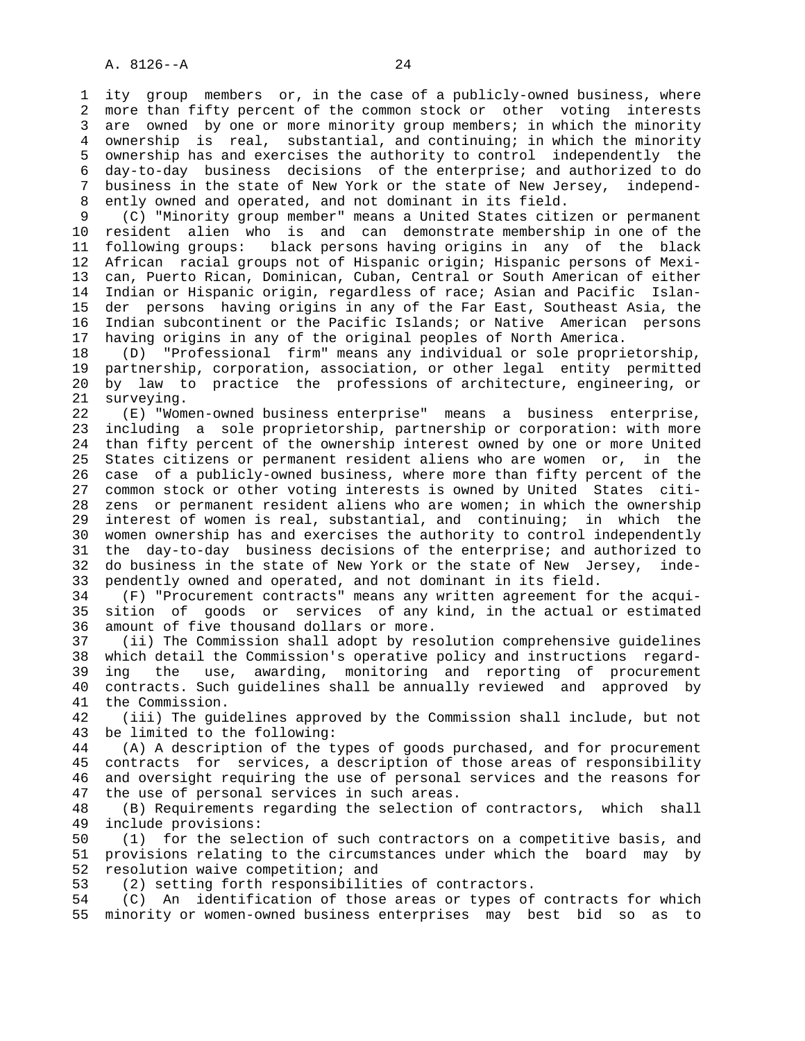1 ity group members or, in the case of a publicly-owned business, where 2 more than fifty percent of the common stock or other voting interests 3 are owned by one or more minority group members; in which the minority 4 ownership is real, substantial, and continuing; in which the minority 5 ownership has and exercises the authority to control independently the 6 day-to-day business decisions of the enterprise; and authorized to do 7 business in the state of New York or the state of New Jersey, independ- 8 ently owned and operated, and not dominant in its field.<br>9 (C) "Minority group member" means a United States citi

 9 (C) "Minority group member" means a United States citizen or permanent 10 resident alien who is and can demonstrate membership in one of the 11 following groups: black persons having origins in any of the black 12 African racial groups not of Hispanic origin; Hispanic persons of Mexi- 13 can, Puerto Rican, Dominican, Cuban, Central or South American of either 14 Indian or Hispanic origin, regardless of race; Asian and Pacific Islan- 15 der persons having origins in any of the Far East, Southeast Asia, the 16 Indian subcontinent or the Pacific Islands; or Native American persons 17 having origins in any of the original peoples of North America.

 18 (D) "Professional firm" means any individual or sole proprietorship, 19 partnership, corporation, association, or other legal entity permitted 20 by law to practice the professions of architecture, engineering, or 21 surveying.

 22 (E) "Women-owned business enterprise" means a business enterprise, 23 including a sole proprietorship, partnership or corporation: with more 24 than fifty percent of the ownership interest owned by one or more United 25 States citizens or permanent resident aliens who are women or, in the 26 case of a publicly-owned business, where more than fifty percent of the 27 common stock or other voting interests is owned by United States citi- 28 zens or permanent resident aliens who are women; in which the ownership 29 interest of women is real, substantial, and continuing; in which the 30 women ownership has and exercises the authority to control independently 31 the day-to-day business decisions of the enterprise; and authorized to 32 do business in the state of New York or the state of New Jersey, inde- 33 pendently owned and operated, and not dominant in its field.

 34 (F) "Procurement contracts" means any written agreement for the acqui- 35 sition of goods or services of any kind, in the actual or estimated 36 amount of five thousand dollars or more.

 37 (ii) The Commission shall adopt by resolution comprehensive guidelines 38 which detail the Commission's operative policy and instructions regard- 39 ing the use, awarding, monitoring and reporting of procurement 40 contracts. Such guidelines shall be annually reviewed and approved by 41 the Commission.

 42 (iii) The guidelines approved by the Commission shall include, but not 43 be limited to the following:

 44 (A) A description of the types of goods purchased, and for procurement 45 contracts for services, a description of those areas of responsibility 46 and oversight requiring the use of personal services and the reasons for 47 the use of personal services in such areas.

48 (B) Requirements regarding the selection of contractors, which shall<br>49 include provisions: include provisions:

 50 (1) for the selection of such contractors on a competitive basis, and 51 provisions relating to the circumstances under which the board may by 52 resolution waive competition; and

53 (2) setting forth responsibilities of contractors.

 54 (C) An identification of those areas or types of contracts for which 55 minority or women-owned business enterprises may best bid so as to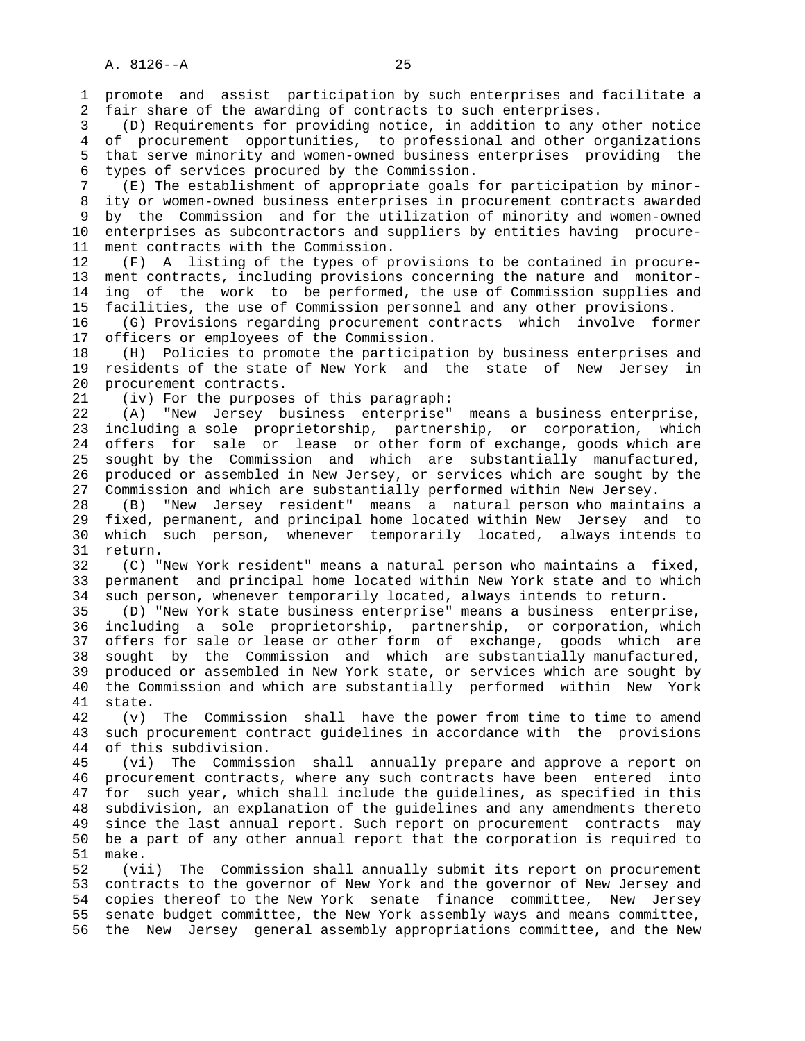1 promote and assist participation by such enterprises and facilitate a 2 fair share of the awarding of contracts to such enterprises.

 3 (D) Requirements for providing notice, in addition to any other notice 4 of procurement opportunities, to professional and other organizations 5 that serve minority and women-owned business enterprises providing the 6 types of services procured by the Commission.

 7 (E) The establishment of appropriate goals for participation by minor- 8 ity or women-owned business enterprises in procurement contracts awarded<br>8 by the Commission and for the utilization of minority and women-owned 9 by the Commission and for the utilization of minority and women-owned 10 enterprises as subcontractors and suppliers by entities having procure- 11 ment contracts with the Commission.

 12 (F) A listing of the types of provisions to be contained in procure- 13 ment contracts, including provisions concerning the nature and monitor- 14 ing of the work to be performed, the use of Commission supplies and 15 facilities, the use of Commission personnel and any other provisions.

 16 (G) Provisions regarding procurement contracts which involve former 17 officers or employees of the Commission.

 18 (H) Policies to promote the participation by business enterprises and 19 residents of the state of New York and the state of New Jersey in 20 procurement contracts.

21 (iv) For the purposes of this paragraph:

 22 (A) "New Jersey business enterprise" means a business enterprise, 23 including a sole proprietorship, partnership, or corporation, which 24 offers for sale or lease or other form of exchange, goods which are 25 sought by the Commission and which are substantially manufactured, 26 produced or assembled in New Jersey, or services which are sought by the 27 Commission and which are substantially performed within New Jersey.

 28 (B) "New Jersey resident" means a natural person who maintains a 29 fixed, permanent, and principal home located within New Jersey and to 30 which such person, whenever temporarily located, always intends to 31 return.

 32 (C) "New York resident" means a natural person who maintains a fixed, 33 permanent and principal home located within New York state and to which 34 such person, whenever temporarily located, always intends to return.

 35 (D) "New York state business enterprise" means a business enterprise, 36 including a sole proprietorship, partnership, or corporation, which 37 offers for sale or lease or other form of exchange, goods which are 38 sought by the Commission and which are substantially manufactured, 39 produced or assembled in New York state, or services which are sought by 40 the Commission and which are substantially performed within New York 41 state.

 42 (v) The Commission shall have the power from time to time to amend 43 such procurement contract guidelines in accordance with the provisions 44 of this subdivision.

 45 (vi) The Commission shall annually prepare and approve a report on 46 procurement contracts, where any such contracts have been entered into 47 for such year, which shall include the guidelines, as specified in this 48 subdivision, an explanation of the guidelines and any amendments thereto 49 since the last annual report. Such report on procurement contracts may 50 be a part of any other annual report that the corporation is required to 51 make.

 52 (vii) The Commission shall annually submit its report on procurement 53 contracts to the governor of New York and the governor of New Jersey and 54 copies thereof to the New York senate finance committee, New Jersey 55 senate budget committee, the New York assembly ways and means committee, 56 the New Jersey general assembly appropriations committee, and the New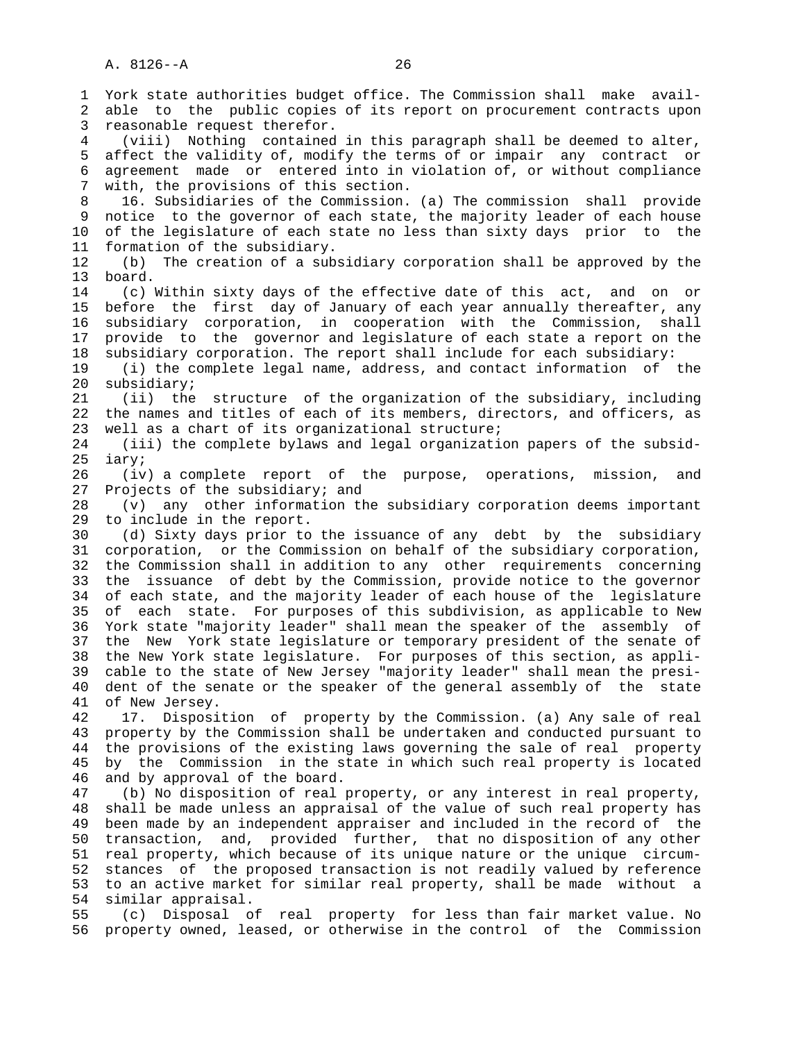1 York state authorities budget office. The Commission shall make avail- 2 able to the public copies of its report on procurement contracts upon 3 reasonable request therefor. 4 (viii) Nothing contained in this paragraph shall be deemed to alter, 5 affect the validity of, modify the terms of or impair any contract or 6 agreement made or entered into in violation of, or without compliance 7 with, the provisions of this section. 8 16. Subsidiaries of the Commission. (a) The commission shall provide notice to the governor of each state, the majority leader of each house 10 of the legislature of each state no less than sixty days prior to the 11 formation of the subsidiary. 12 (b) The creation of a subsidiary corporation shall be approved by the 13 board. 14 (c) Within sixty days of the effective date of this act, and on or 15 before the first day of January of each year annually thereafter, any 16 subsidiary corporation, in cooperation with the Commission, shall 17 provide to the governor and legislature of each state a report on the 18 subsidiary corporation. The report shall include for each subsidiary: 19 (i) the complete legal name, address, and contact information of the 20 subsidiary; 21 (ii) the structure of the organization of the subsidiary, including 22 the names and titles of each of its members, directors, and officers, as 23 well as a chart of its organizational structure; 24 (iii) the complete bylaws and legal organization papers of the subsid- 25 iary; 26 (iv) a complete report of the purpose, operations, mission, and 27 Projects of the subsidiary; and 28 (v) any other information the subsidiary corporation deems important 29 to include in the report. 30 (d) Sixty days prior to the issuance of any debt by the subsidiary 31 corporation, or the Commission on behalf of the subsidiary corporation, 32 the Commission shall in addition to any other requirements concerning 33 the issuance of debt by the Commission, provide notice to the governor 34 of each state, and the majority leader of each house of the legislature 35 of each state. For purposes of this subdivision, as applicable to New 36 York state "majority leader" shall mean the speaker of the assembly of 37 the New York state legislature or temporary president of the senate of 38 the New York state legislature. For purposes of this section, as appli- 39 cable to the state of New Jersey "majority leader" shall mean the presi- 40 dent of the senate or the speaker of the general assembly of the state 41 of New Jersey. 42 17. Disposition of property by the Commission. (a) Any sale of real 43 property by the Commission shall be undertaken and conducted pursuant to 44 the provisions of the existing laws governing the sale of real property 45 by the Commission in the state in which such real property is located 46 and by approval of the board. 47 (b) No disposition of real property, or any interest in real property, 48 shall be made unless an appraisal of the value of such real property has 49 been made by an independent appraiser and included in the record of the 50 transaction, and, provided further, that no disposition of any other 51 real property, which because of its unique nature or the unique circum- 52 stances of the proposed transaction is not readily valued by reference 53 to an active market for similar real property, shall be made without a 54 similar appraisal. 55 (c) Disposal of real property for less than fair market value. No 56 property owned, leased, or otherwise in the control of the Commission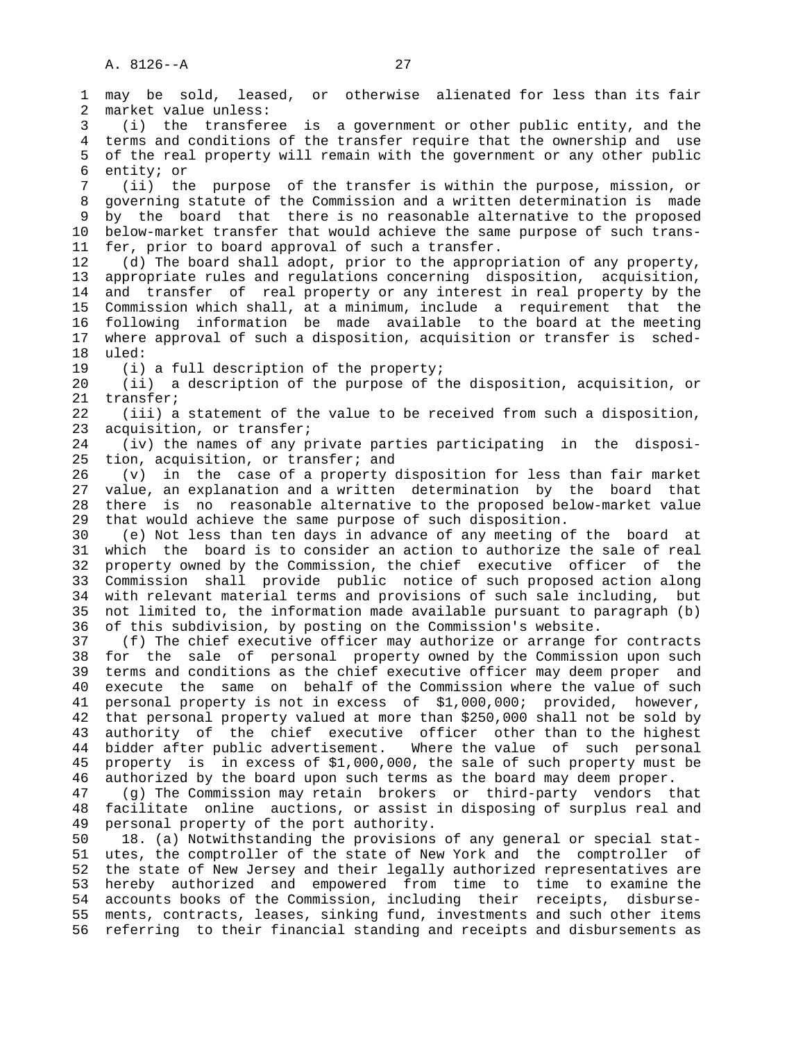1 may be sold, leased, or otherwise alienated for less than its fair 2 market value unless: 3 (i) the transferee is a government or other public entity, and the 4 terms and conditions of the transfer require that the ownership and use 5 of the real property will remain with the government or any other public 6 entity; or 7 (ii) the purpose of the transfer is within the purpose, mission, or 8 governing statute of the Commission and a written determination is made<br>8 by the board that there is no reasonable alternative to the proposed by the board that there is no reasonable alternative to the proposed 10 below-market transfer that would achieve the same purpose of such trans- 11 fer, prior to board approval of such a transfer. 12 (d) The board shall adopt, prior to the appropriation of any property, 13 appropriate rules and regulations concerning disposition, acquisition, 14 and transfer of real property or any interest in real property by the 15 Commission which shall, at a minimum, include a requirement that the 16 following information be made available to the board at the meeting 17 where approval of such a disposition, acquisition or transfer is sched- 18 uled: 19 (i) a full description of the property; 20 (ii) a description of the purpose of the disposition, acquisition, or 21 transfer; 22 (iii) a statement of the value to be received from such a disposition, 23 acquisition, or transfer; 24 (iv) the names of any private parties participating in the disposi- 25 tion, acquisition, or transfer; and 26 (v) in the case of a property disposition for less than fair market 27 value, an explanation and a written determination by the board that 28 there is no reasonable alternative to the proposed below-market value 29 that would achieve the same purpose of such disposition. 30 (e) Not less than ten days in advance of any meeting of the board at 31 which the board is to consider an action to authorize the sale of real 32 property owned by the Commission, the chief executive officer of the 33 Commission shall provide public notice of such proposed action along 34 with relevant material terms and provisions of such sale including, but 35 not limited to, the information made available pursuant to paragraph (b) 36 of this subdivision, by posting on the Commission's website. 37 (f) The chief executive officer may authorize or arrange for contracts 38 for the sale of personal property owned by the Commission upon such 39 terms and conditions as the chief executive officer may deem proper and 40 execute the same on behalf of the Commission where the value of such 41 personal property is not in excess of \$1,000,000; provided, however, 42 that personal property valued at more than \$250,000 shall not be sold by 43 authority of the chief executive officer other than to the highest 44 bidder after public advertisement. Where the value of such personal 45 property is in excess of \$1,000,000, the sale of such property must be 46 authorized by the board upon such terms as the board may deem proper. 47 (g) The Commission may retain brokers or third-party vendors that 48 facilitate online auctions, or assist in disposing of surplus real and 49 personal property of the port authority. 50 18. (a) Notwithstanding the provisions of any general or special stat- 51 utes, the comptroller of the state of New York and the comptroller of 52 the state of New Jersey and their legally authorized representatives are 53 hereby authorized and empowered from time to time to examine the 54 accounts books of the Commission, including their receipts, disburse-

 55 ments, contracts, leases, sinking fund, investments and such other items 56 referring to their financial standing and receipts and disbursements as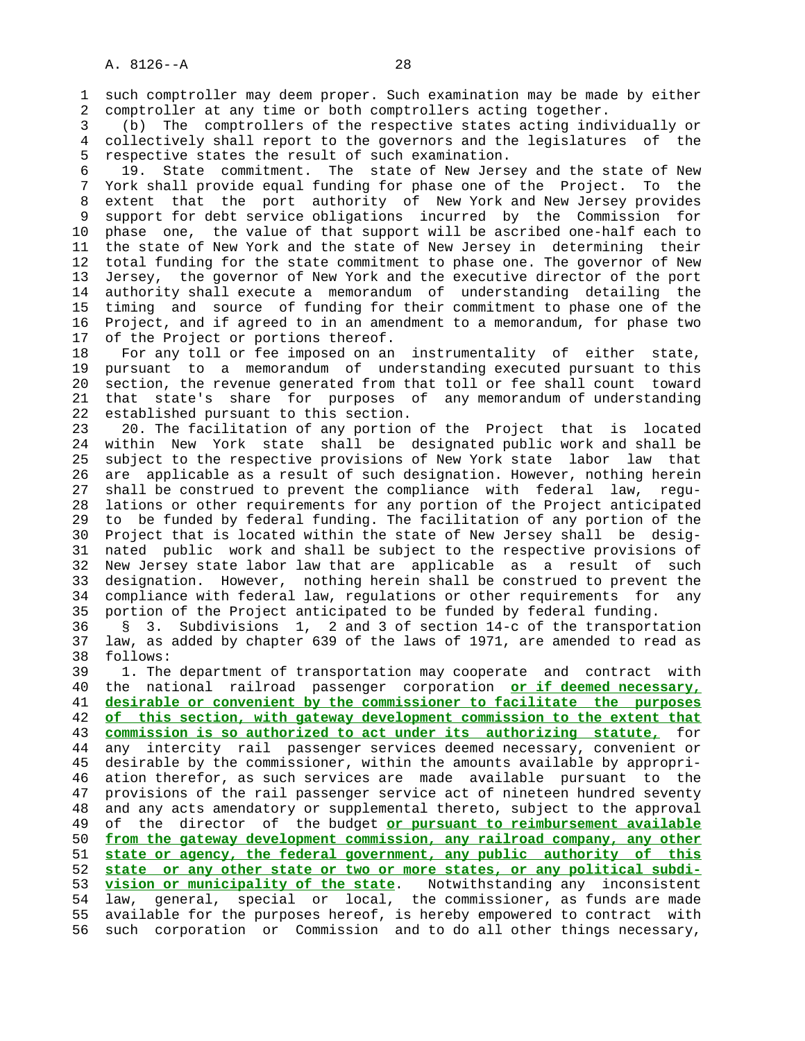1 such comptroller may deem proper. Such examination may be made by either 2 comptroller at any time or both comptrollers acting together.

 3 (b) The comptrollers of the respective states acting individually or 4 collectively shall report to the governors and the legislatures of the 5 respective states the result of such examination.

 6 19. State commitment. The state of New Jersey and the state of New 7 York shall provide equal funding for phase one of the Project. To the 8 extent that the port authority of New York and New Jersey provides 9 support for debt service obligations incurred by the Commission for 10 phase one, the value of that support will be ascribed one-half each to 11 the state of New York and the state of New Jersey in determining their 12 total funding for the state commitment to phase one. The governor of New 13 Jersey, the governor of New York and the executive director of the port 14 authority shall execute a memorandum of understanding detailing the 15 timing and source of funding for their commitment to phase one of the 16 Project, and if agreed to in an amendment to a memorandum, for phase two 17 of the Project or portions thereof.

 18 For any toll or fee imposed on an instrumentality of either state, 19 pursuant to a memorandum of understanding executed pursuant to this 20 section, the revenue generated from that toll or fee shall count toward 21 that state's share for purposes of any memorandum of understanding 22 established pursuant to this section.

 23 20. The facilitation of any portion of the Project that is located 24 within New York state shall be designated public work and shall be 25 subject to the respective provisions of New York state labor law that 26 are applicable as a result of such designation. However, nothing herein 27 shall be construed to prevent the compliance with federal law, regu- 28 lations or other requirements for any portion of the Project anticipated 29 to be funded by federal funding. The facilitation of any portion of the 30 Project that is located within the state of New Jersey shall be desig- 31 nated public work and shall be subject to the respective provisions of 32 New Jersey state labor law that are applicable as a result of such 33 designation. However, nothing herein shall be construed to prevent the 34 compliance with federal law, regulations or other requirements for any 35 portion of the Project anticipated to be funded by federal funding.

 36 § 3. Subdivisions 1, 2 and 3 of section 14-c of the transportation 37 law, as added by chapter 639 of the laws of 1971, are amended to read as 38 follows:

 39 1. The department of transportation may cooperate and contract with 40 the national railroad passenger corporation **or if deemed necessary,** 41 **desirable or convenient by the commissioner to facilitate the purposes** 42 **of this section, with gateway development commission to the extent that** 43 **commission is so authorized to act under its authorizing statute,** for 44 any intercity rail passenger services deemed necessary, convenient or 45 desirable by the commissioner, within the amounts available by appropri- 46 ation therefor, as such services are made available pursuant to the 47 provisions of the rail passenger service act of nineteen hundred seventy 48 and any acts amendatory or supplemental thereto, subject to the approval 49 of the director of the budget **or pursuant to reimbursement available** 50 **from the gateway development commission, any railroad company, any other** 51 **state or agency, the federal government, any public authority of this** 52 **state or any other state or two or more states, or any political subdi-** 53 **vision or municipality of the state**. Notwithstanding any inconsistent 54 law, general, special or local, the commissioner, as funds are made 55 available for the purposes hereof, is hereby empowered to contract with 56 such corporation or Commission and to do all other things necessary,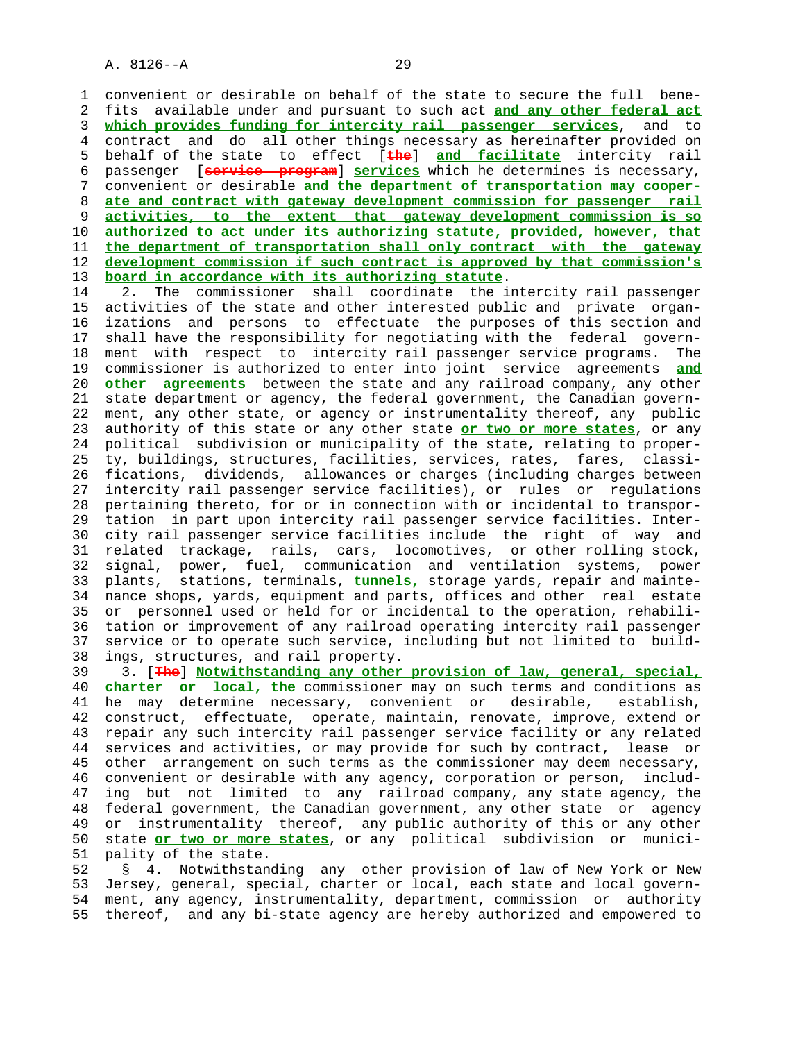1 convenient or desirable on behalf of the state to secure the full bene- 2 fits available under and pursuant to such act **and any other federal act** 3 **which provides funding for intercity rail passenger services**, and to 4 contract and do all other things necessary as hereinafter provided on 5 behalf of the state to effect [**the**] **and facilitate** intercity rail 6 passenger [**service program**] **services** which he determines is necessary, 7 convenient or desirable **and the department of transportation may cooper-** 8 **ate and contract with gateway development commission for passenger rail** 9 **activities, to the extent that gateway development commission is so** 10 **authorized to act under its authorizing statute, provided, however, that** 11 **the department of transportation shall only contract with the gateway** 12 **development commission if such contract is approved by that commission's** 13 **board in accordance with its authorizing statute**.

 14 2. The commissioner shall coordinate the intercity rail passenger 15 activities of the state and other interested public and private organ- 16 izations and persons to effectuate the purposes of this section and 17 shall have the responsibility for negotiating with the federal govern- 18 ment with respect to intercity rail passenger service programs. The 19 commissioner is authorized to enter into joint service agreements **and** 20 **other agreements** between the state and any railroad company, any other 21 state department or agency, the federal government, the Canadian govern- 22 ment, any other state, or agency or instrumentality thereof, any public 23 authority of this state or any other state **or two or more states**, or any 24 political subdivision or municipality of the state, relating to proper- 25 ty, buildings, structures, facilities, services, rates, fares, classi- 26 fications, dividends, allowances or charges (including charges between 27 intercity rail passenger service facilities), or rules or regulations 28 pertaining thereto, for or in connection with or incidental to transpor- 29 tation in part upon intercity rail passenger service facilities. Inter- 30 city rail passenger service facilities include the right of way and 31 related trackage, rails, cars, locomotives, or other rolling stock, 32 signal, power, fuel, communication and ventilation systems, power 33 plants, stations, terminals, **tunnels,** storage yards, repair and mainte- 34 nance shops, yards, equipment and parts, offices and other real estate 35 or personnel used or held for or incidental to the operation, rehabili- 36 tation or improvement of any railroad operating intercity rail passenger 37 service or to operate such service, including but not limited to build- 38 ings, structures, and rail property.

 39 3. [**The**] **Notwithstanding any other provision of law, general, special,** 40 **charter or local, the** commissioner may on such terms and conditions as 41 he may determine necessary, convenient or desirable, establish, 42 construct, effectuate, operate, maintain, renovate, improve, extend or 43 repair any such intercity rail passenger service facility or any related 44 services and activities, or may provide for such by contract, lease or 45 other arrangement on such terms as the commissioner may deem necessary, 46 convenient or desirable with any agency, corporation or person, includ- 47 ing but not limited to any railroad company, any state agency, the 48 federal government, the Canadian government, any other state or agency 49 or instrumentality thereof, any public authority of this or any other 50 state **or two or more states**, or any political subdivision or munici- 51 pality of the state.

 52 § 4. Notwithstanding any other provision of law of New York or New 53 Jersey, general, special, charter or local, each state and local govern- 54 ment, any agency, instrumentality, department, commission or authority 55 thereof, and any bi-state agency are hereby authorized and empowered to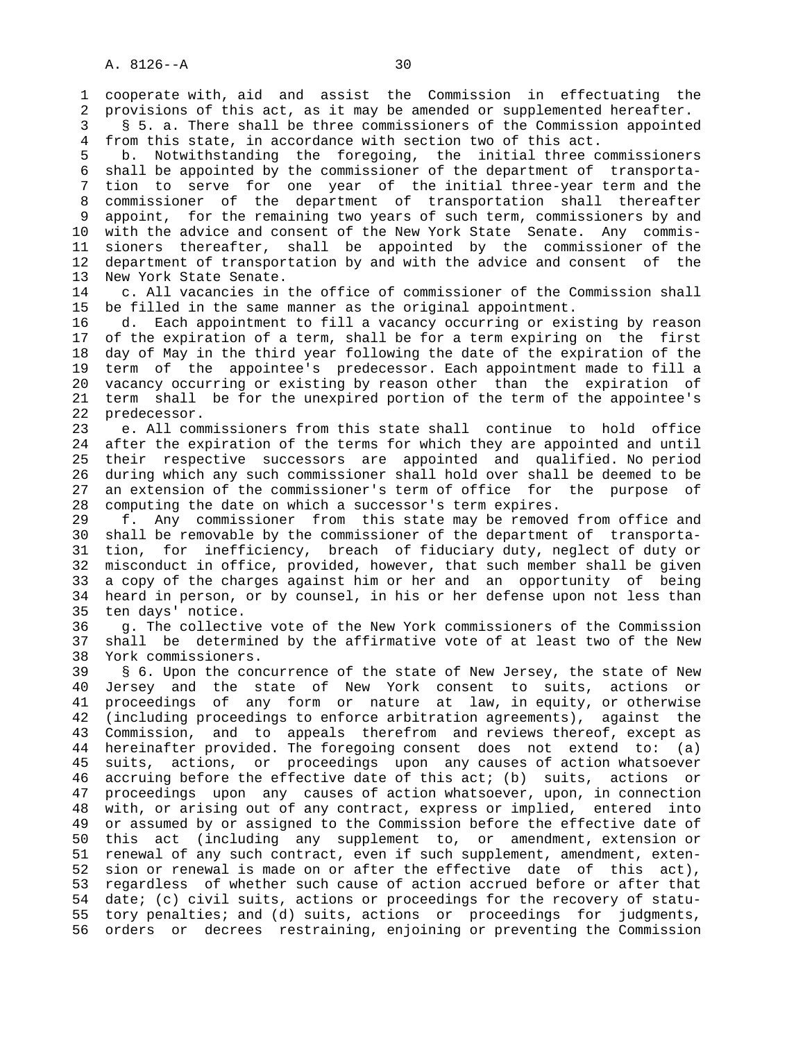1 cooperate with, aid and assist the Commission in effectuating the 2 provisions of this act, as it may be amended or supplemented hereafter.

 3 § 5. a. There shall be three commissioners of the Commission appointed 4 from this state, in accordance with section two of this act.

 5 b. Notwithstanding the foregoing, the initial three commissioners 6 shall be appointed by the commissioner of the department of transporta- 7 tion to serve for one year of the initial three-year term and the 8 commissioner of the department of transportation shall thereafter 9 appoint, for the remaining two years of such term, commissioners by and 10 with the advice and consent of the New York State Senate. Any commis- 11 sioners thereafter, shall be appointed by the commissioner of the 12 department of transportation by and with the advice and consent of the 13 New York State Senate.

 14 c. All vacancies in the office of commissioner of the Commission shall 15 be filled in the same manner as the original appointment.

 16 d. Each appointment to fill a vacancy occurring or existing by reason 17 of the expiration of a term, shall be for a term expiring on the first 18 day of May in the third year following the date of the expiration of the 19 term of the appointee's predecessor. Each appointment made to fill a 20 vacancy occurring or existing by reason other than the expiration of 21 term shall be for the unexpired portion of the term of the appointee's 22 predecessor.

 23 e. All commissioners from this state shall continue to hold office 24 after the expiration of the terms for which they are appointed and until 25 their respective successors are appointed and qualified. No period 26 during which any such commissioner shall hold over shall be deemed to be 27 an extension of the commissioner's term of office for the purpose of 28 computing the date on which a successor's term expires.

 29 f. Any commissioner from this state may be removed from office and 30 shall be removable by the commissioner of the department of transporta- 31 tion, for inefficiency, breach of fiduciary duty, neglect of duty or 32 misconduct in office, provided, however, that such member shall be given 33 a copy of the charges against him or her and an opportunity of being 34 heard in person, or by counsel, in his or her defense upon not less than 35 ten days' notice.

 36 g. The collective vote of the New York commissioners of the Commission 37 shall be determined by the affirmative vote of at least two of the New 38 York commissioners.

 39 § 6. Upon the concurrence of the state of New Jersey, the state of New 40 Jersey and the state of New York consent to suits, actions or 41 proceedings of any form or nature at law, in equity, or otherwise 42 (including proceedings to enforce arbitration agreements), against the 43 Commission, and to appeals therefrom and reviews thereof, except as 44 hereinafter provided. The foregoing consent does not extend to: (a) 45 suits, actions, or proceedings upon any causes of action whatsoever 46 accruing before the effective date of this act; (b) suits, actions or 47 proceedings upon any causes of action whatsoever, upon, in connection 48 with, or arising out of any contract, express or implied, entered into 49 or assumed by or assigned to the Commission before the effective date of 50 this act (including any supplement to, or amendment, extension or 51 renewal of any such contract, even if such supplement, amendment, exten- 52 sion or renewal is made on or after the effective date of this act), 53 regardless of whether such cause of action accrued before or after that 54 date; (c) civil suits, actions or proceedings for the recovery of statu- 55 tory penalties; and (d) suits, actions or proceedings for judgments, 56 orders or decrees restraining, enjoining or preventing the Commission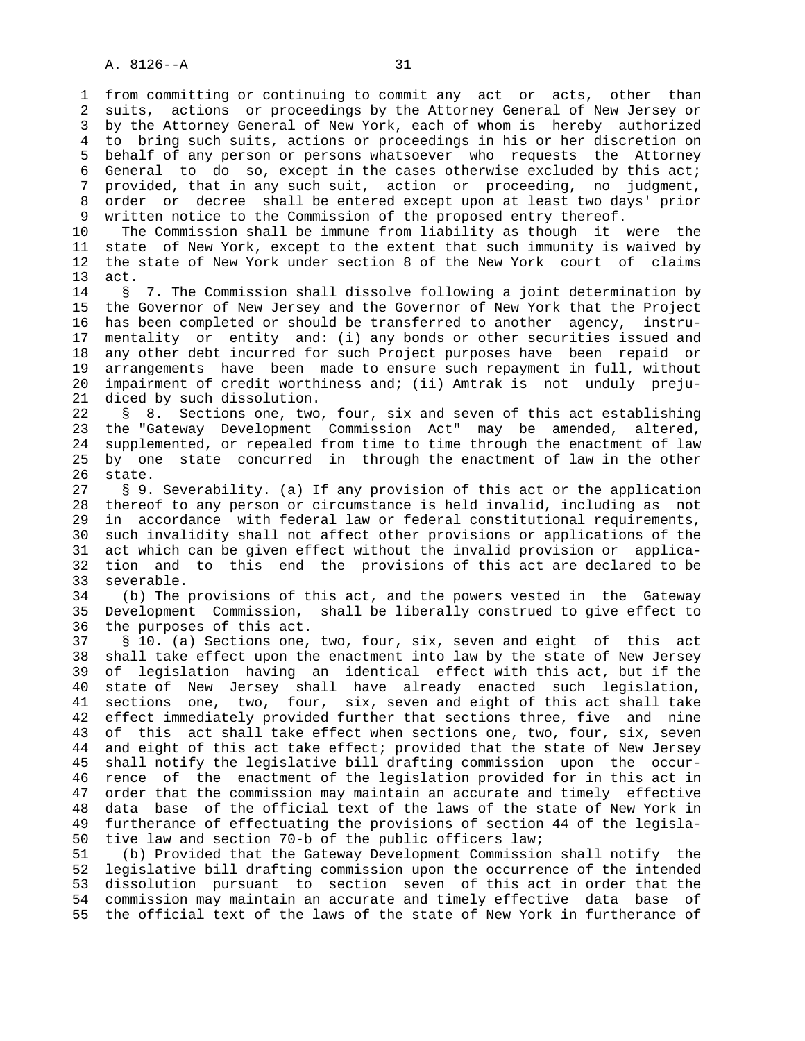1 from committing or continuing to commit any act or acts, other than 2 suits, actions or proceedings by the Attorney General of New Jersey or 3 by the Attorney General of New York, each of whom is hereby authorized 4 to bring such suits, actions or proceedings in his or her discretion on 5 behalf of any person or persons whatsoever who requests the Attorney 6 General to do so, except in the cases otherwise excluded by this act; 7 provided, that in any such suit, action or proceeding, no judgment, 8 order or decree shall be entered except upon at least two days' prior<br>9 written notice to the Commission of the proposed entry thereof. written notice to the Commission of the proposed entry thereof.

 10 The Commission shall be immune from liability as though it were the 11 state of New York, except to the extent that such immunity is waived by 12 the state of New York under section 8 of the New York court of claims 13 act.

 14 § 7. The Commission shall dissolve following a joint determination by 15 the Governor of New Jersey and the Governor of New York that the Project 16 has been completed or should be transferred to another agency, instru- 17 mentality or entity and: (i) any bonds or other securities issued and 18 any other debt incurred for such Project purposes have been repaid or 19 arrangements have been made to ensure such repayment in full, without 20 impairment of credit worthiness and; (ii) Amtrak is not unduly preju- 21 diced by such dissolution.

 22 § 8. Sections one, two, four, six and seven of this act establishing 23 the "Gateway Development Commission Act" may be amended, altered, 24 supplemented, or repealed from time to time through the enactment of law 25 by one state concurred in through the enactment of law in the other 26 state.

 27 § 9. Severability. (a) If any provision of this act or the application 28 thereof to any person or circumstance is held invalid, including as not 29 in accordance with federal law or federal constitutional requirements, 30 such invalidity shall not affect other provisions or applications of the 31 act which can be given effect without the invalid provision or applica- 32 tion and to this end the provisions of this act are declared to be 33 severable.

 34 (b) The provisions of this act, and the powers vested in the Gateway 35 Development Commission, shall be liberally construed to give effect to 36 the purposes of this act.

 37 § 10. (a) Sections one, two, four, six, seven and eight of this act 38 shall take effect upon the enactment into law by the state of New Jersey 39 of legislation having an identical effect with this act, but if the 40 state of New Jersey shall have already enacted such legislation, 41 sections one, two, four, six, seven and eight of this act shall take 42 effect immediately provided further that sections three, five and nine 43 of this act shall take effect when sections one, two, four, six, seven 44 and eight of this act take effect; provided that the state of New Jersey 45 shall notify the legislative bill drafting commission upon the occur- 46 rence of the enactment of the legislation provided for in this act in 47 order that the commission may maintain an accurate and timely effective 48 data base of the official text of the laws of the state of New York in 49 furtherance of effectuating the provisions of section 44 of the legisla- 50 tive law and section 70-b of the public officers law;

 51 (b) Provided that the Gateway Development Commission shall notify the 52 legislative bill drafting commission upon the occurrence of the intended 53 dissolution pursuant to section seven of this act in order that the 54 commission may maintain an accurate and timely effective data base of 55 the official text of the laws of the state of New York in furtherance of